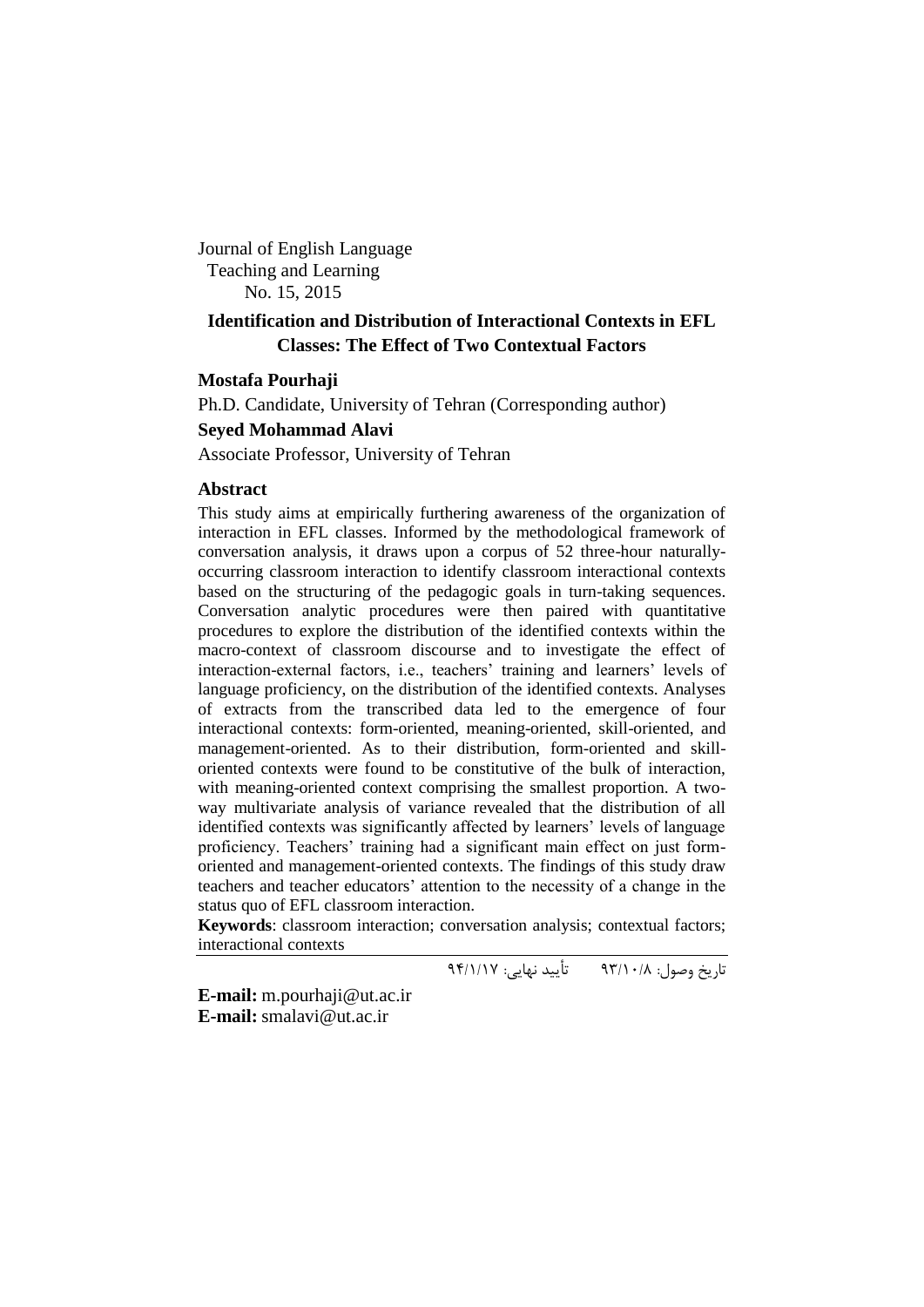Journal of English Language Teaching and Learning No. 15, 2015

# **Identification and Distribution of Interactional Contexts in EFL Classes: The Effect of Two Contextual Factors**

## **Mostafa Pourhaji**

Ph.D. Candidate, University of Tehran (Corresponding author)

#### **Seyed Mohammad Alavi**

Associate Professor, University of Tehran

#### **Abstract**

This study aims at empirically furthering awareness of the organization of interaction in EFL classes. Informed by the methodological framework of conversation analysis, it draws upon a corpus of 52 three-hour naturallyoccurring classroom interaction to identify classroom interactional contexts based on the structuring of the pedagogic goals in turn-taking sequences. Conversation analytic procedures were then paired with quantitative procedures to explore the distribution of the identified contexts within the macro-context of classroom discourse and to investigate the effect of interaction-external factors, i.e., teachers' training and learners' levels of language proficiency, on the distribution of the identified contexts. Analyses of extracts from the transcribed data led to the emergence of four interactional contexts: form-oriented, meaning-oriented, skill-oriented, and management-oriented. As to their distribution, form-oriented and skilloriented contexts were found to be constitutive of the bulk of interaction, with meaning-oriented context comprising the smallest proportion. A twoway multivariate analysis of variance revealed that the distribution of all identified contexts was significantly affected by learners" levels of language proficiency. Teachers' training had a significant main effect on just formoriented and management-oriented contexts. The findings of this study draw teachers and teacher educators" attention to the necessity of a change in the status quo of EFL classroom interaction.

**Keywords**: classroom interaction; conversation analysis; contextual factors; interactional contexts

تاریخ وصول: 39/01/8 تأیید نهایی: 39/0/01

**E-mail:** [m.pourhaji@ut.ac.ir](mailto:m.pourhaji@ut.ac.ir) **E-mail:** [smalavi@ut.ac.ir](mailto:smalavi@ut.ac.ir)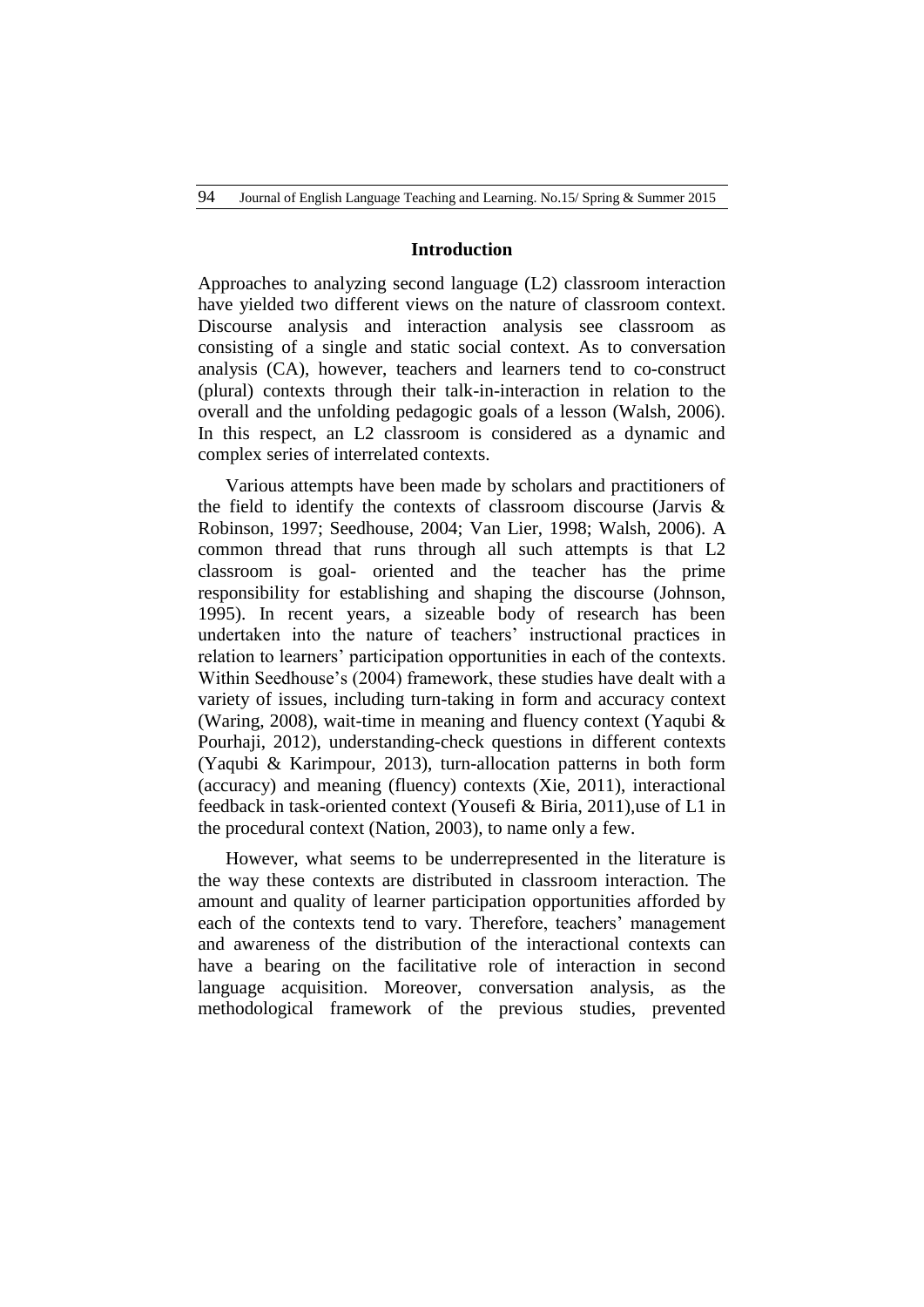#### **Introduction**

Approaches to analyzing second language (L2) classroom interaction have yielded two different views on the nature of classroom context. Discourse analysis and interaction analysis see classroom as consisting of a single and static social context. As to conversation analysis (CA), however, teachers and learners tend to co-construct (plural) contexts through their talk-in-interaction in relation to the overall and the unfolding pedagogic goals of a lesson (Walsh, 2006). In this respect, an L2 classroom is considered as a dynamic and complex series of interrelated contexts.

Various attempts have been made by scholars and practitioners of the field to identify the contexts of classroom discourse (Jarvis & Robinson, 1997; Seedhouse, 2004; Van Lier, 1998; Walsh, 2006). A common thread that runs through all such attempts is that L2 classroom is goal- oriented and the teacher has the prime responsibility for establishing and shaping the discourse (Johnson, 1995). In recent years, a sizeable body of research has been undertaken into the nature of teachers' instructional practices in relation to learners" participation opportunities in each of the contexts. Within Seedhouse's (2004) framework, these studies have dealt with a variety of issues, including turn-taking in form and accuracy context (Waring, 2008), wait-time in meaning and fluency context (Yaqubi & Pourhaji, 2012), understanding-check questions in different contexts (Yaqubi & Karimpour, 2013), turn-allocation patterns in both form (accuracy) and meaning (fluency) contexts (Xie, 2011), interactional feedback in task-oriented context (Yousefi & Biria, 2011),use of L1 in the procedural context (Nation, 2003), to name only a few.

However, what seems to be underrepresented in the literature is the way these contexts are distributed in classroom interaction. The amount and quality of learner participation opportunities afforded by each of the contexts tend to vary. Therefore, teachers' management and awareness of the distribution of the interactional contexts can have a bearing on the facilitative role of interaction in second language acquisition. Moreover, conversation analysis, as the methodological framework of the previous studies, prevented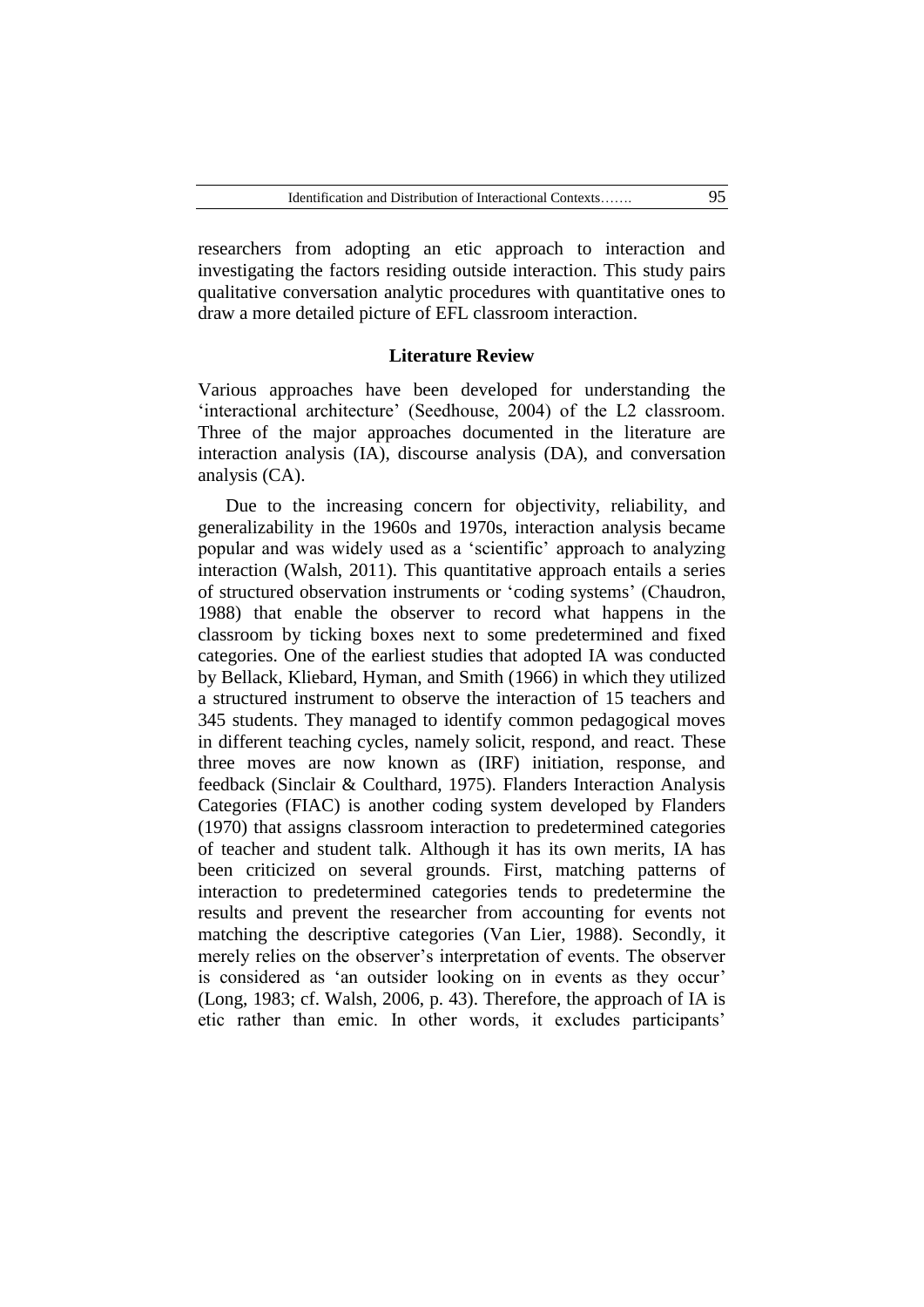researchers from adopting an etic approach to interaction and investigating the factors residing outside interaction. This study pairs qualitative conversation analytic procedures with quantitative ones to draw a more detailed picture of EFL classroom interaction.

#### **Literature Review**

Various approaches have been developed for understanding the 'interactional architecture' (Seedhouse, 2004) of the L2 classroom. Three of the major approaches documented in the literature are interaction analysis (IA), discourse analysis (DA), and conversation analysis (CA).

Due to the increasing concern for objectivity, reliability, and generalizability in the 1960s and 1970s, interaction analysis became popular and was widely used as a "scientific" approach to analyzing interaction (Walsh, 2011). This quantitative approach entails a series of structured observation instruments or "coding systems" (Chaudron, 1988) that enable the observer to record what happens in the classroom by ticking boxes next to some predetermined and fixed categories. One of the earliest studies that adopted IA was conducted by Bellack, Kliebard, Hyman, and Smith (1966) in which they utilized a structured instrument to observe the interaction of 15 teachers and 345 students. They managed to identify common pedagogical moves in different teaching cycles, namely solicit, respond, and react. These three moves are now known as (IRF) initiation, response, and feedback (Sinclair & Coulthard, 1975). Flanders Interaction Analysis Categories (FIAC) is another coding system developed by Flanders (1970) that assigns classroom interaction to predetermined categories of teacher and student talk. Although it has its own merits, IA has been criticized on several grounds. First, matching patterns of interaction to predetermined categories tends to predetermine the results and prevent the researcher from accounting for events not matching the descriptive categories (Van Lier, 1988). Secondly, it merely relies on the observer"s interpretation of events. The observer is considered as 'an outsider looking on in events as they occur' (Long, 1983; cf. Walsh, 2006, p. 43). Therefore, the approach of IA is etic rather than emic. In other words, it excludes participants'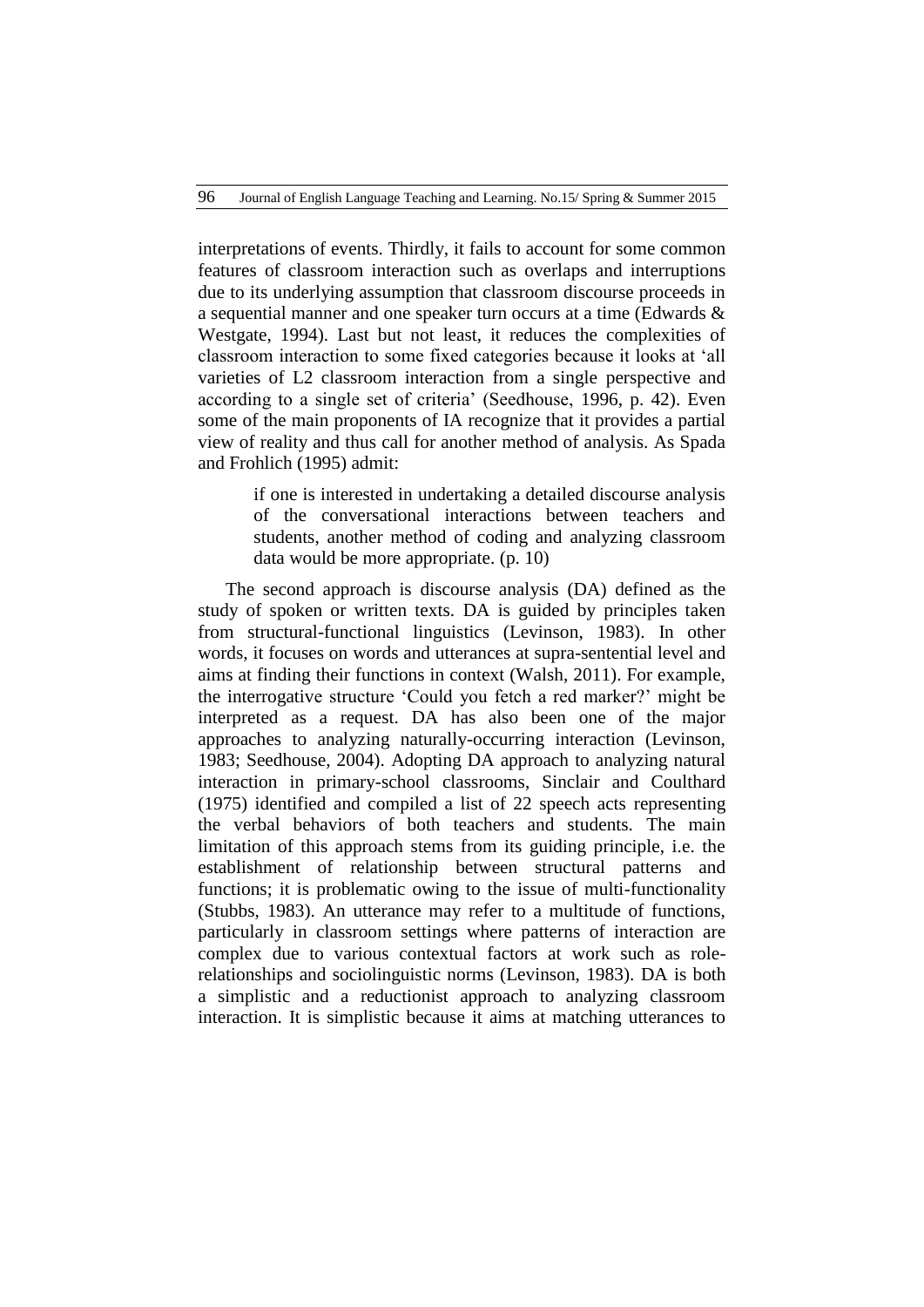interpretations of events. Thirdly, it fails to account for some common features of classroom interaction such as overlaps and interruptions due to its underlying assumption that classroom discourse proceeds in a sequential manner and one speaker turn occurs at a time (Edwards & Westgate, 1994). Last but not least, it reduces the complexities of classroom interaction to some fixed categories because it looks at "all varieties of L2 classroom interaction from a single perspective and according to a single set of criteria" (Seedhouse, 1996, p. 42). Even some of the main proponents of IA recognize that it provides a partial view of reality and thus call for another method of analysis. As Spada and Frohlich (1995) admit:

> if one is interested in undertaking a detailed discourse analysis of the conversational interactions between teachers and students, another method of coding and analyzing classroom data would be more appropriate. (p. 10)

The second approach is discourse analysis (DA) defined as the study of spoken or written texts. DA is guided by principles taken from structural-functional linguistics (Levinson, 1983). In other words, it focuses on words and utterances at supra-sentential level and aims at finding their functions in context (Walsh, 2011). For example, the interrogative structure "Could you fetch a red marker?" might be interpreted as a request. DA has also been one of the major approaches to analyzing naturally-occurring interaction (Levinson, 1983; Seedhouse, 2004). Adopting DA approach to analyzing natural interaction in primary-school classrooms, Sinclair and Coulthard (1975) identified and compiled a list of 22 speech acts representing the verbal behaviors of both teachers and students. The main limitation of this approach stems from its guiding principle, i.e. the establishment of relationship between structural patterns and functions; it is problematic owing to the issue of multi-functionality (Stubbs, 1983). An utterance may refer to a multitude of functions, particularly in classroom settings where patterns of interaction are complex due to various contextual factors at work such as rolerelationships and sociolinguistic norms (Levinson, 1983). DA is both a simplistic and a reductionist approach to analyzing classroom interaction. It is simplistic because it aims at matching utterances to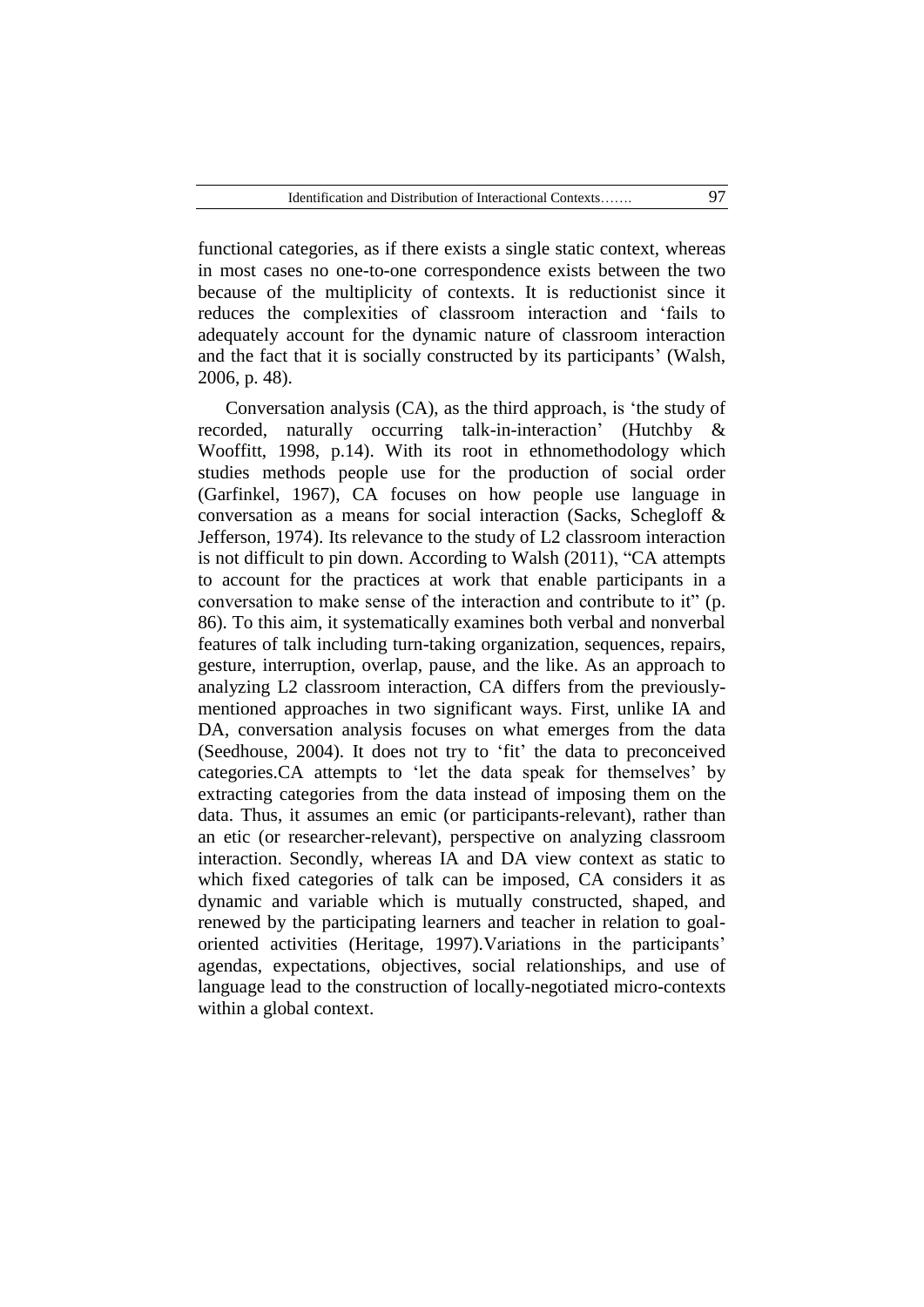functional categories, as if there exists a single static context, whereas in most cases no one-to-one correspondence exists between the two because of the multiplicity of contexts. It is reductionist since it reduces the complexities of classroom interaction and "fails to adequately account for the dynamic nature of classroom interaction and the fact that it is socially constructed by its participants" (Walsh, 2006, p. 48).

Conversation analysis (CA), as the third approach, is "the study of recorded, naturally occurring talk-in-interaction' (Hutchby & Wooffitt, 1998, p.14). With its root in ethnomethodology which studies methods people use for the production of social order (Garfinkel, 1967), CA focuses on how people use language in conversation as a means for social interaction (Sacks, Schegloff & Jefferson, 1974). Its relevance to the study of L2 classroom interaction is not difficult to pin down. According to Walsh (2011), "CA attempts to account for the practices at work that enable participants in a conversation to make sense of the interaction and contribute to it" (p. 86). To this aim, it systematically examines both verbal and nonverbal features of talk including turn-taking organization, sequences, repairs, gesture, interruption, overlap, pause, and the like. As an approach to analyzing L2 classroom interaction, CA differs from the previouslymentioned approaches in two significant ways. First, unlike IA and DA, conversation analysis focuses on what emerges from the data (Seedhouse, 2004). It does not try to "fit" the data to preconceived categories.CA attempts to "let the data speak for themselves" by extracting categories from the data instead of imposing them on the data. Thus, it assumes an emic (or participants-relevant), rather than an etic (or researcher-relevant), perspective on analyzing classroom interaction. Secondly, whereas IA and DA view context as static to which fixed categories of talk can be imposed, CA considers it as dynamic and variable which is mutually constructed, shaped, and renewed by the participating learners and teacher in relation to goaloriented activities (Heritage, 1997).Variations in the participants" agendas, expectations, objectives, social relationships, and use of language lead to the construction of locally-negotiated micro-contexts within a global context.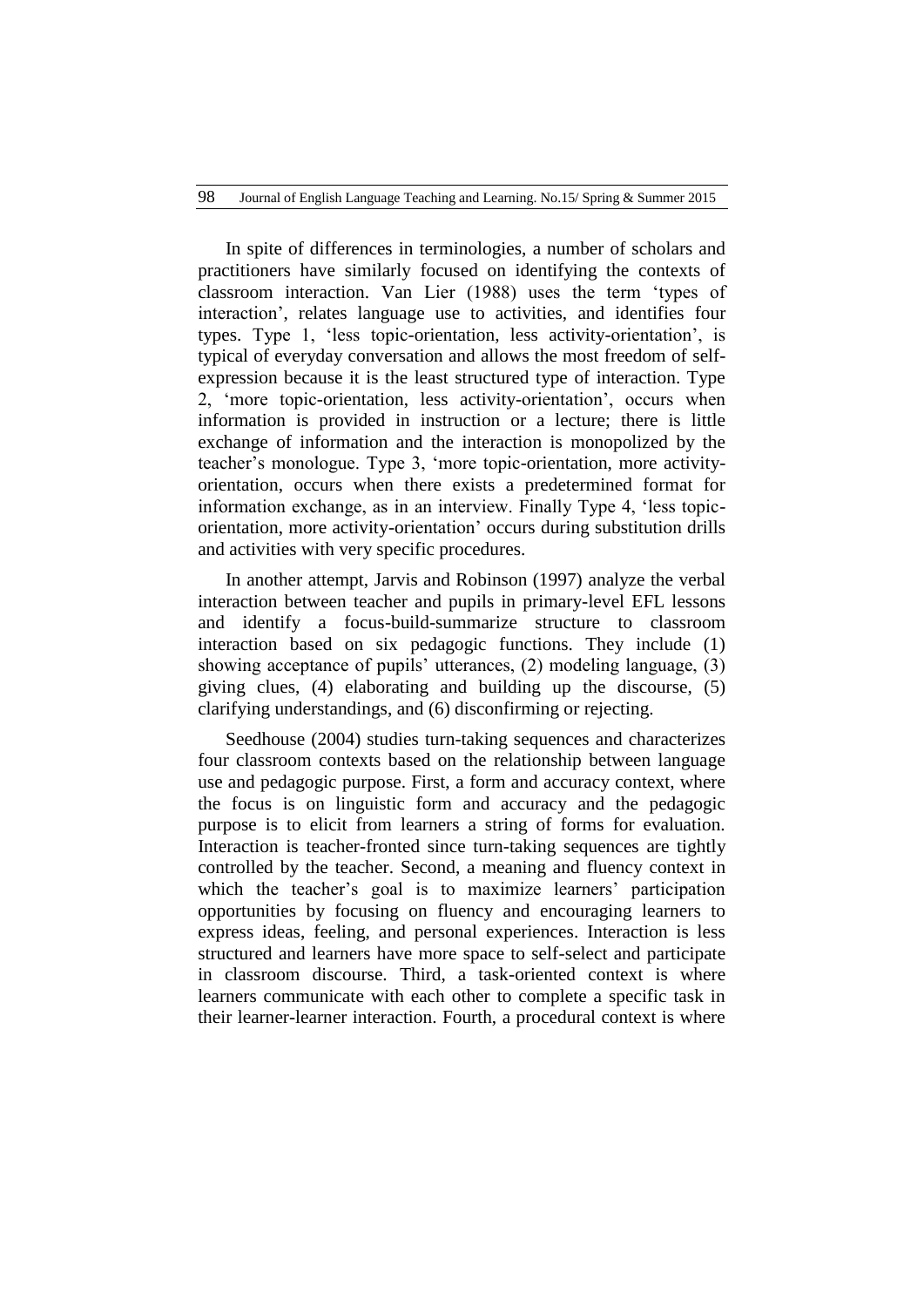In spite of differences in terminologies, a number of scholars and practitioners have similarly focused on identifying the contexts of classroom interaction. Van Lier (1988) uses the term "types of interaction", relates language use to activities, and identifies four types. Type 1, "less topic-orientation, less activity-orientation", is typical of everyday conversation and allows the most freedom of selfexpression because it is the least structured type of interaction. Type 2, "more topic-orientation, less activity-orientation", occurs when information is provided in instruction or a lecture; there is little exchange of information and the interaction is monopolized by the teacher"s monologue. Type 3, "more topic-orientation, more activityorientation, occurs when there exists a predetermined format for information exchange, as in an interview. Finally Type 4, "less topicorientation, more activity-orientation" occurs during substitution drills and activities with very specific procedures.

In another attempt, Jarvis and Robinson (1997) analyze the verbal interaction between teacher and pupils in primary-level EFL lessons and identify a focus-build-summarize structure to classroom interaction based on six pedagogic functions. They include (1) showing acceptance of pupils' utterances, (2) modeling language, (3) giving clues, (4) elaborating and building up the discourse, (5) clarifying understandings, and (6) disconfirming or rejecting.

Seedhouse (2004) studies turn-taking sequences and characterizes four classroom contexts based on the relationship between language use and pedagogic purpose. First, a form and accuracy context, where the focus is on linguistic form and accuracy and the pedagogic purpose is to elicit from learners a string of forms for evaluation. Interaction is teacher-fronted since turn-taking sequences are tightly controlled by the teacher. Second, a meaning and fluency context in which the teacher's goal is to maximize learners' participation opportunities by focusing on fluency and encouraging learners to express ideas, feeling, and personal experiences. Interaction is less structured and learners have more space to self-select and participate in classroom discourse. Third, a task-oriented context is where learners communicate with each other to complete a specific task in their learner-learner interaction. Fourth, a procedural context is where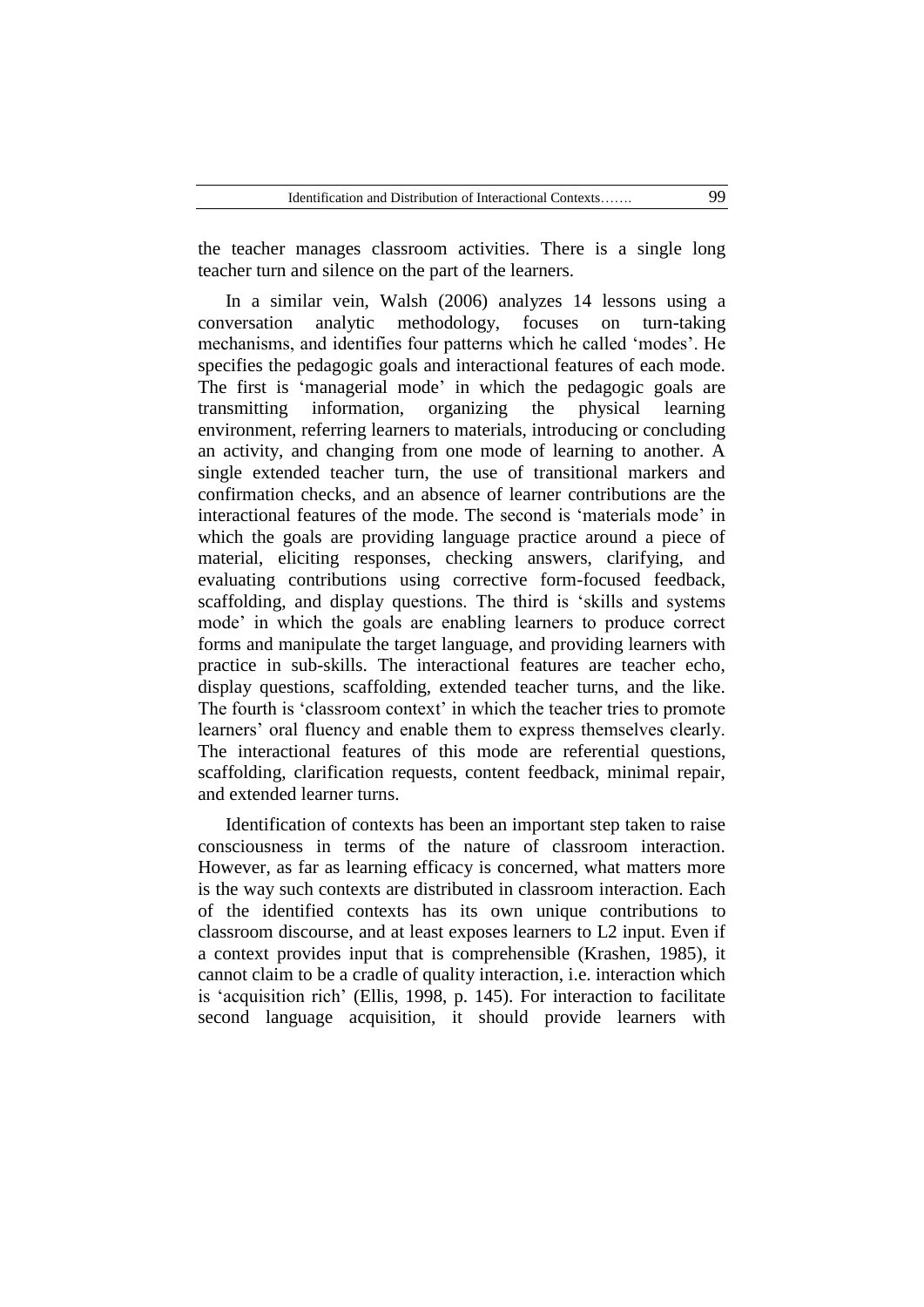the teacher manages classroom activities. There is a single long teacher turn and silence on the part of the learners.

In a similar vein, Walsh (2006) analyzes 14 lessons using a conversation analytic methodology, focuses on turn-taking mechanisms, and identifies four patterns which he called "modes". He specifies the pedagogic goals and interactional features of each mode. The first is 'managerial mode' in which the pedagogic goals are transmitting information, organizing the physical learning environment, referring learners to materials, introducing or concluding an activity, and changing from one mode of learning to another. A single extended teacher turn, the use of transitional markers and confirmation checks, and an absence of learner contributions are the interactional features of the mode. The second is "materials mode" in which the goals are providing language practice around a piece of material, eliciting responses, checking answers, clarifying, and evaluating contributions using corrective form-focused feedback, scaffolding, and display questions. The third is "skills and systems mode" in which the goals are enabling learners to produce correct forms and manipulate the target language, and providing learners with practice in sub-skills. The interactional features are teacher echo, display questions, scaffolding, extended teacher turns, and the like. The fourth is 'classroom context' in which the teacher tries to promote learners' oral fluency and enable them to express themselves clearly. The interactional features of this mode are referential questions, scaffolding, clarification requests, content feedback, minimal repair, and extended learner turns.

Identification of contexts has been an important step taken to raise consciousness in terms of the nature of classroom interaction. However, as far as learning efficacy is concerned, what matters more is the way such contexts are distributed in classroom interaction. Each of the identified contexts has its own unique contributions to classroom discourse, and at least exposes learners to L2 input. Even if a context provides input that is comprehensible (Krashen, 1985), it cannot claim to be a cradle of quality interaction, i.e. interaction which is "acquisition rich" (Ellis, 1998, p. 145). For interaction to facilitate second language acquisition, it should provide learners with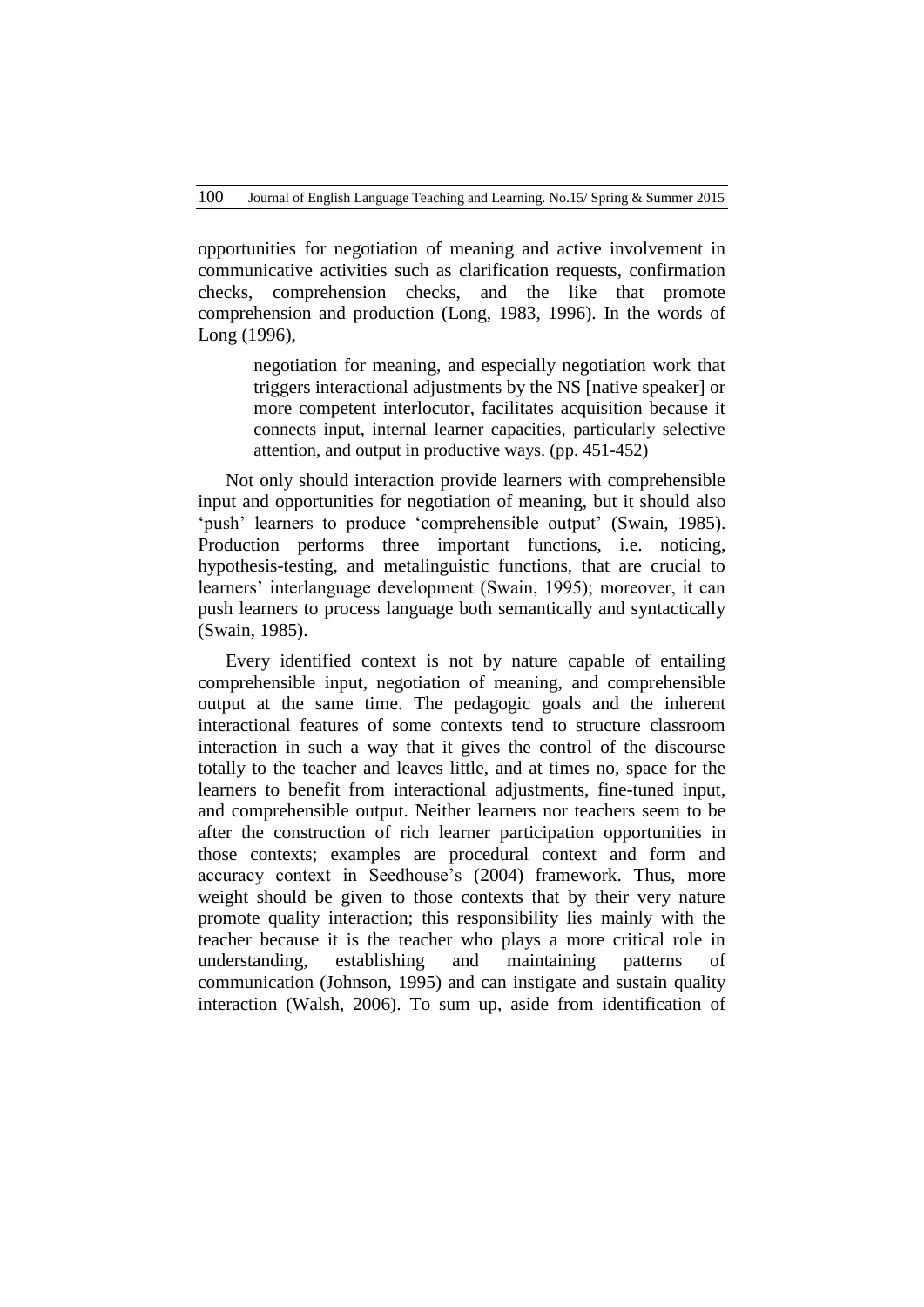opportunities for negotiation of meaning and active involvement in communicative activities such as clarification requests, confirmation checks, comprehension checks, and the like that promote comprehension and production (Long, 1983, 1996). In the words of Long (1996),

> negotiation for meaning, and especially negotiation work that triggers interactional adjustments by the NS [native speaker] or more competent interlocutor, facilitates acquisition because it connects input, internal learner capacities, particularly selective attention, and output in productive ways. (pp. 451-452)

Not only should interaction provide learners with comprehensible input and opportunities for negotiation of meaning, but it should also 'push' learners to produce 'comprehensible output' (Swain, 1985). Production performs three important functions, i.e. noticing, hypothesis-testing, and metalinguistic functions, that are crucial to learners" interlanguage development (Swain, 1995); moreover, it can push learners to process language both semantically and syntactically (Swain, 1985).

Every identified context is not by nature capable of entailing comprehensible input, negotiation of meaning, and comprehensible output at the same time. The pedagogic goals and the inherent interactional features of some contexts tend to structure classroom interaction in such a way that it gives the control of the discourse totally to the teacher and leaves little, and at times no, space for the learners to benefit from interactional adjustments, fine-tuned input, and comprehensible output. Neither learners nor teachers seem to be after the construction of rich learner participation opportunities in those contexts; examples are procedural context and form and accuracy context in Seedhouse's (2004) framework. Thus, more weight should be given to those contexts that by their very nature promote quality interaction; this responsibility lies mainly with the teacher because it is the teacher who plays a more critical role in understanding, establishing and maintaining patterns of communication (Johnson, 1995) and can instigate and sustain quality interaction (Walsh, 2006). To sum up, aside from identification of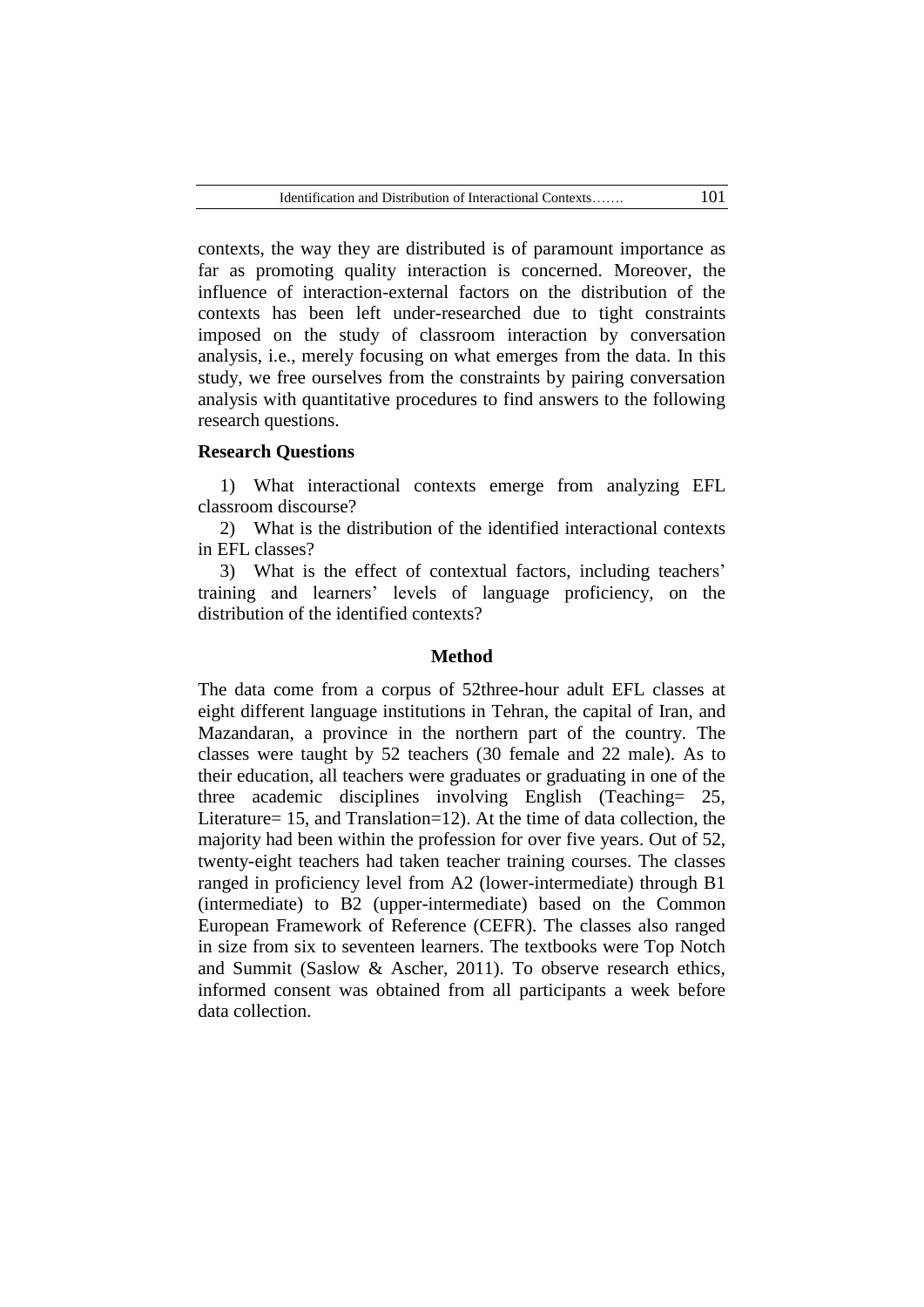contexts, the way they are distributed is of paramount importance as far as promoting quality interaction is concerned. Moreover, the influence of interaction-external factors on the distribution of the contexts has been left under-researched due to tight constraints imposed on the study of classroom interaction by conversation analysis, i.e., merely focusing on what emerges from the data. In this study, we free ourselves from the constraints by pairing conversation analysis with quantitative procedures to find answers to the following research questions.

#### **Research Questions**

1) What interactional contexts emerge from analyzing EFL classroom discourse?

2) What is the distribution of the identified interactional contexts in EFL classes?

3) What is the effect of contextual factors, including teachers' training and learners" levels of language proficiency, on the distribution of the identified contexts?

#### **Method**

The data come from a corpus of 52three-hour adult EFL classes at eight different language institutions in Tehran, the capital of Iran, and Mazandaran, a province in the northern part of the country. The classes were taught by 52 teachers (30 female and 22 male). As to their education, all teachers were graduates or graduating in one of the three academic disciplines involving English (Teaching= 25, Literature= 15, and Translation=12). At the time of data collection, the majority had been within the profession for over five years. Out of 52, twenty-eight teachers had taken teacher training courses. The classes ranged in proficiency level from A2 (lower-intermediate) through B1 (intermediate) to B2 (upper-intermediate) based on the Common European Framework of Reference (CEFR). The classes also ranged in size from six to seventeen learners. The textbooks were Top Notch and Summit (Saslow & Ascher, 2011). To observe research ethics, informed consent was obtained from all participants a week before data collection.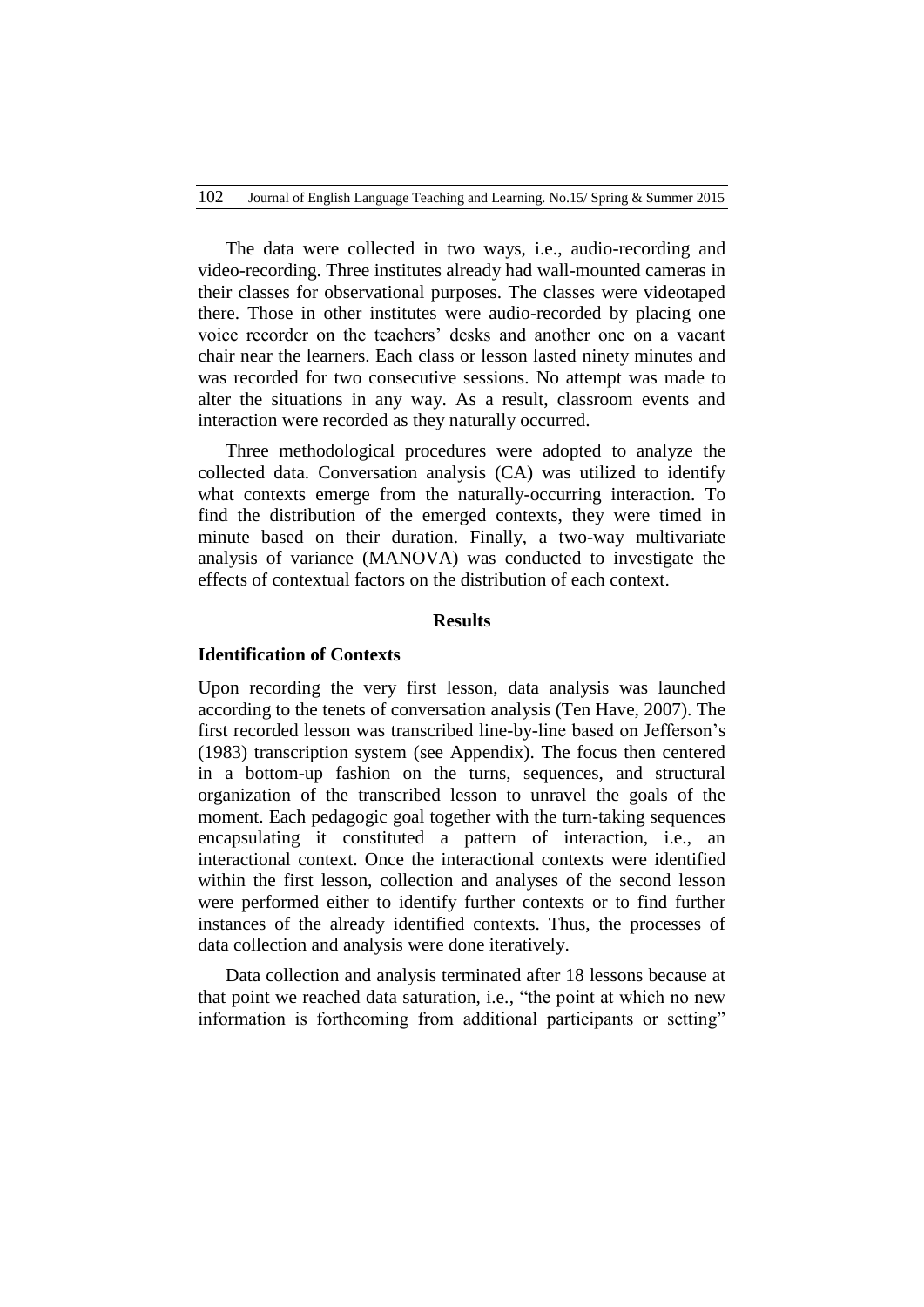The data were collected in two ways, i.e., audio-recording and video-recording. Three institutes already had wall-mounted cameras in their classes for observational purposes. The classes were videotaped there. Those in other institutes were audio-recorded by placing one voice recorder on the teachers" desks and another one on a vacant chair near the learners. Each class or lesson lasted ninety minutes and was recorded for two consecutive sessions. No attempt was made to alter the situations in any way. As a result, classroom events and interaction were recorded as they naturally occurred.

Three methodological procedures were adopted to analyze the collected data. Conversation analysis (CA) was utilized to identify what contexts emerge from the naturally-occurring interaction. To find the distribution of the emerged contexts, they were timed in minute based on their duration. Finally, a two-way multivariate analysis of variance (MANOVA) was conducted to investigate the effects of contextual factors on the distribution of each context.

# **Results**

#### **Identification of Contexts**

Upon recording the very first lesson, data analysis was launched according to the tenets of conversation analysis (Ten Have, 2007). The first recorded lesson was transcribed line-by-line based on Jefferson"s (1983) transcription system (see Appendix). The focus then centered in a bottom-up fashion on the turns, sequences, and structural organization of the transcribed lesson to unravel the goals of the moment. Each pedagogic goal together with the turn-taking sequences encapsulating it constituted a pattern of interaction, i.e., an interactional context. Once the interactional contexts were identified within the first lesson, collection and analyses of the second lesson were performed either to identify further contexts or to find further instances of the already identified contexts. Thus, the processes of data collection and analysis were done iteratively.

Data collection and analysis terminated after 18 lessons because at that point we reached data saturation, i.e., "the point at which no new information is forthcoming from additional participants or setting"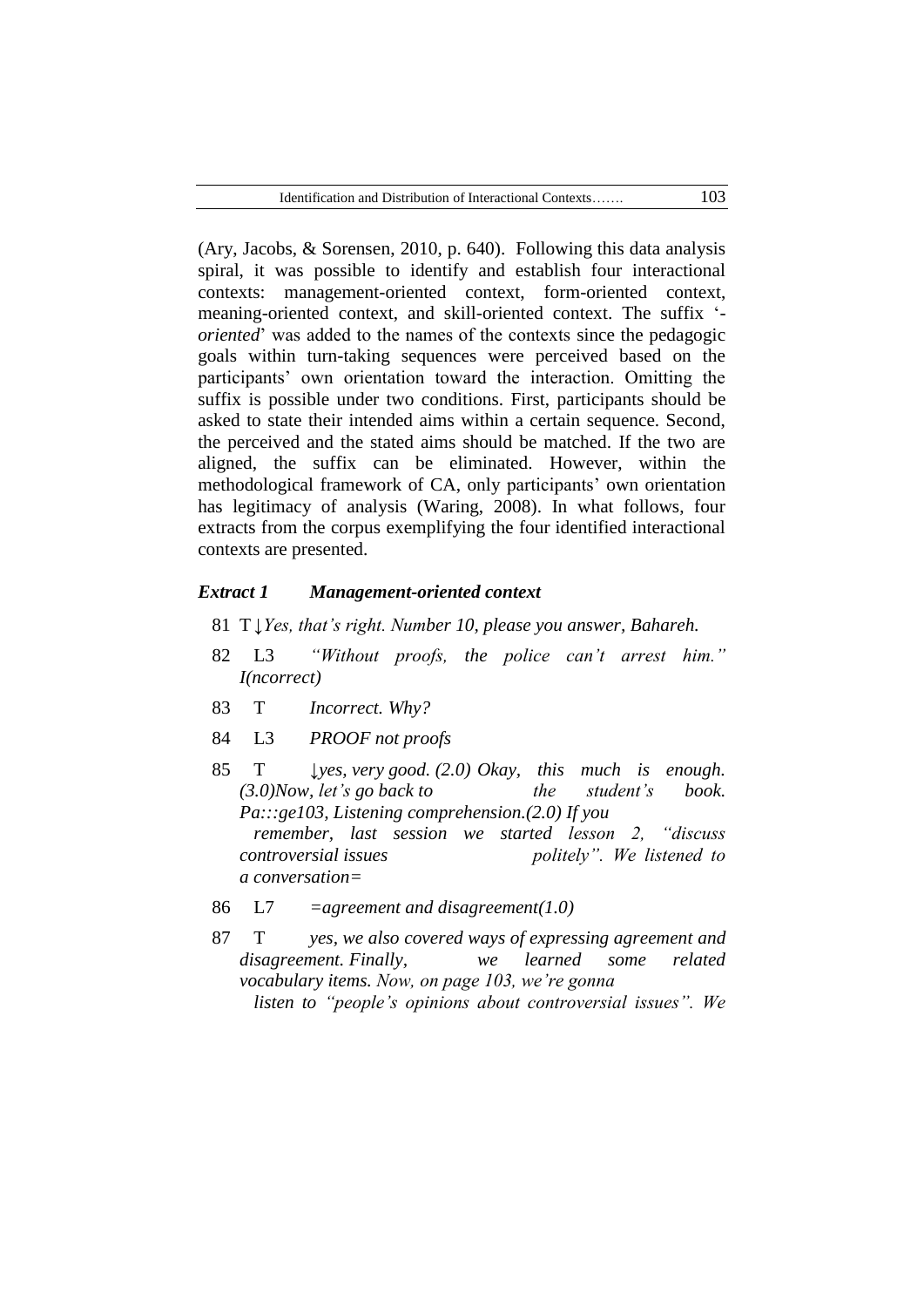(Ary, Jacobs, & Sorensen, 2010, p. 640). Following this data analysis spiral, it was possible to identify and establish four interactional contexts: management-oriented context, form-oriented context, meaning-oriented context, and skill-oriented context. The suffix " *oriented*" was added to the names of the contexts since the pedagogic goals within turn-taking sequences were perceived based on the participants" own orientation toward the interaction. Omitting the suffix is possible under two conditions. First, participants should be asked to state their intended aims within a certain sequence. Second, the perceived and the stated aims should be matched. If the two are aligned, the suffix can be eliminated. However, within the methodological framework of CA, only participants" own orientation has legitimacy of analysis (Waring, 2008). In what follows, four extracts from the corpus exemplifying the four identified interactional contexts are presented.

#### *Extract 1 Management-oriented context*

- 81 T*↓Yes, that's right. Number 10, please you answer, Bahareh.*
- 82 L3 *"Without proofs, the police can't arrest him." I(ncorrect)*
- 83 T *Incorrect. Why?*
- 84 L3 *PROOF not proofs*
- 85 T *↓yes, very good.* (2.0) Okay, this much is enough. *(3.0)Now, let's go back to* the *student's* book. *Pa:::ge103, Listening comprehension.(2.0) If you remember, last session we started lesson 2, "discuss controversial issues politely". We listened to a conversation=*
- 86 L7 *=agreement and disagreement(1.0)*
- 87 T *yes, we also covered ways of expressing agreement and disagreement. Finally, we learned some related vocabulary items. Now, on page 103, we're gonna listen to "people's opinions about controversial issues". We*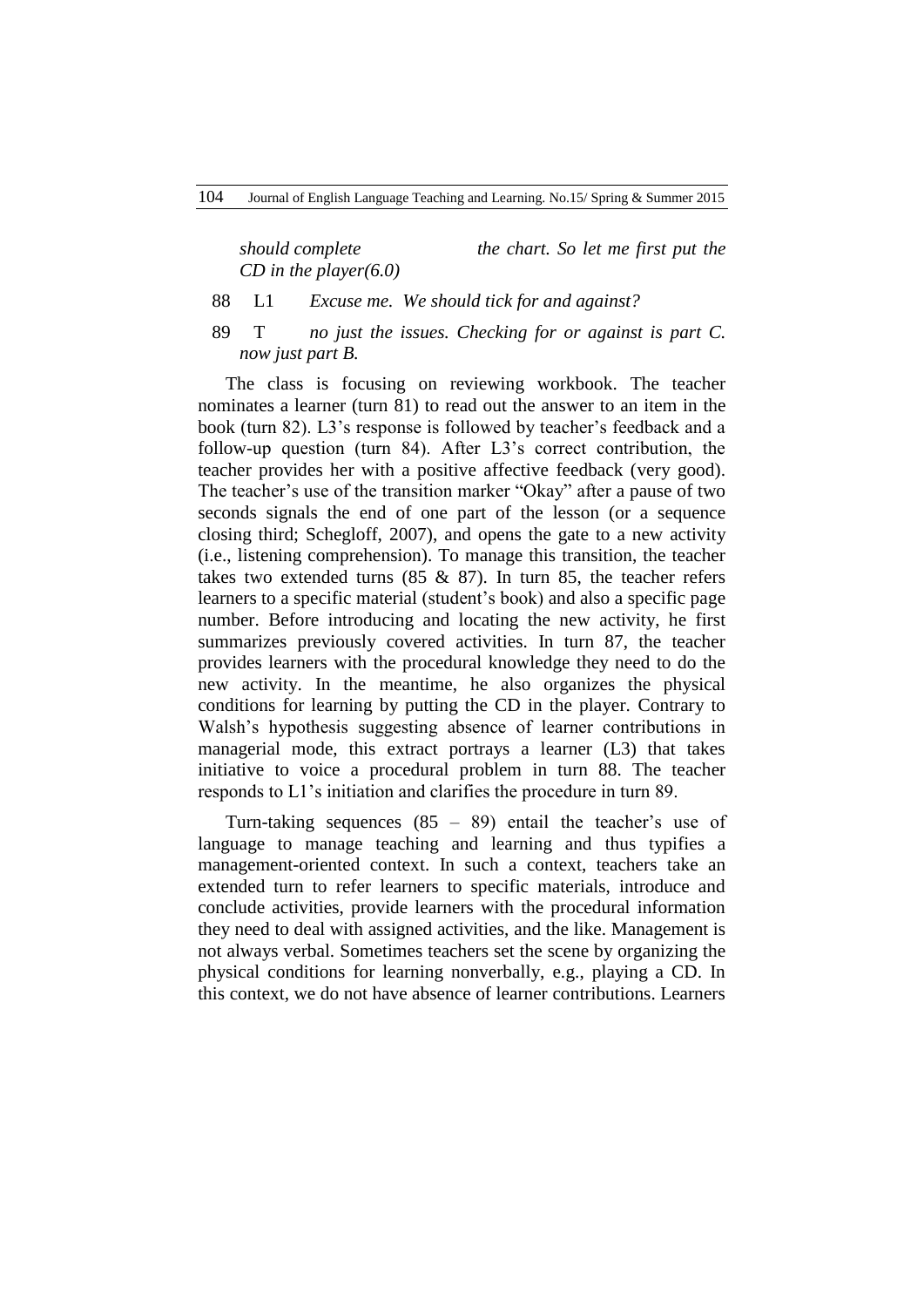*should complete* the *chart. So let me first put the CD in the player(6.0)*

- 88 L1 *Excuse me. We should tick for and against?*
- 89 T *no just the issues. Checking for or against is part C. now just part B.*

The class is focusing on reviewing workbook. The teacher nominates a learner (turn 81) to read out the answer to an item in the book (turn 82). L3"s response is followed by teacher"s feedback and a follow-up question (turn 84). After L3"s correct contribution, the teacher provides her with a positive affective feedback (very good). The teacher's use of the transition marker "Okay" after a pause of two seconds signals the end of one part of the lesson (or a sequence closing third; Schegloff, 2007), and opens the gate to a new activity (i.e., listening comprehension). To manage this transition, the teacher takes two extended turns (85 & 87). In turn 85, the teacher refers learners to a specific material (student's book) and also a specific page number. Before introducing and locating the new activity, he first summarizes previously covered activities. In turn 87, the teacher provides learners with the procedural knowledge they need to do the new activity. In the meantime, he also organizes the physical conditions for learning by putting the CD in the player. Contrary to Walsh"s hypothesis suggesting absence of learner contributions in managerial mode, this extract portrays a learner (L3) that takes initiative to voice a procedural problem in turn 88. The teacher responds to L1"s initiation and clarifies the procedure in turn 89.

Turn-taking sequences  $(85 - 89)$  entail the teacher's use of language to manage teaching and learning and thus typifies a management-oriented context. In such a context, teachers take an extended turn to refer learners to specific materials, introduce and conclude activities, provide learners with the procedural information they need to deal with assigned activities, and the like. Management is not always verbal. Sometimes teachers set the scene by organizing the physical conditions for learning nonverbally, e.g., playing a CD. In this context, we do not have absence of learner contributions. Learners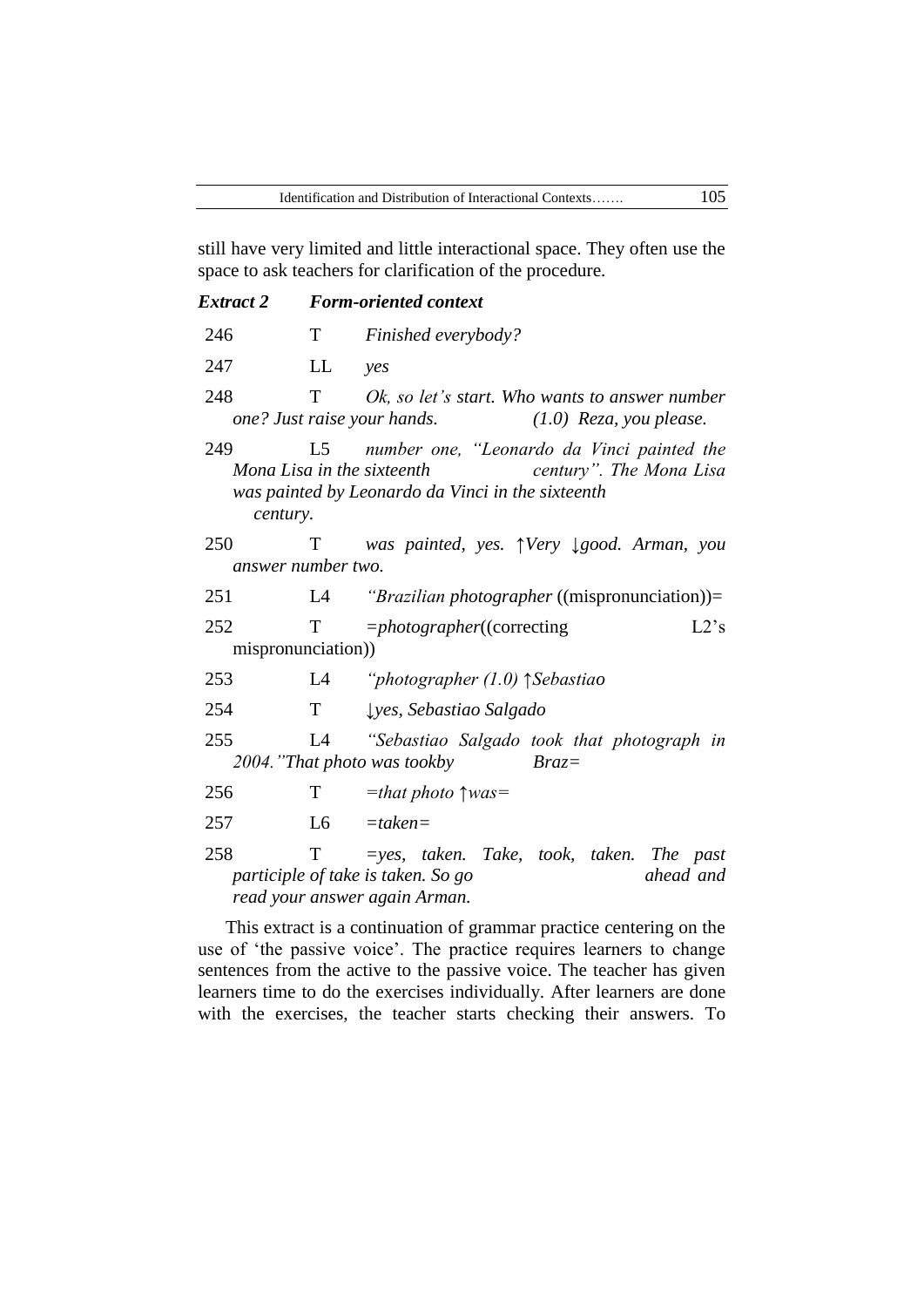still have very limited and little interactional space. They often use the space to ask teachers for clarification of the procedure.

| Extract 2                 |    | <b>Form-oriented context</b>                                                                                                                                |  |  |  |  |
|---------------------------|----|-------------------------------------------------------------------------------------------------------------------------------------------------------------|--|--|--|--|
| 246                       |    | T Finished everybody?                                                                                                                                       |  |  |  |  |
| 247                       | LL | yes                                                                                                                                                         |  |  |  |  |
| 248                       | Т  | Ok, so let's start. Who wants to answer number<br>one? Just raise your hands.<br>$(1.0)$ Reza, you please.                                                  |  |  |  |  |
| 249<br>century.           |    | L5 number one, "Leonardo da Vinci painted the<br>century". The Mona Lisa<br>Mona Lisa in the sixteenth<br>was painted by Leonardo da Vinci in the sixteenth |  |  |  |  |
| 250<br>answer number two. | T  | was painted, yes. $\uparrow$ Very $\downarrow$ good. Arman, you                                                                                             |  |  |  |  |
| 251                       | L4 | <i>"Brazilian photographer</i> ((mispronunciation))=                                                                                                        |  |  |  |  |
| 252<br>mispronunciation)  |    | $T = photographic((correcting$<br>L2's                                                                                                                      |  |  |  |  |
| 253                       |    | L4 "photographer $(1.0)$ $\uparrow$ Sebastiao                                                                                                               |  |  |  |  |
| 254                       | T  | Lyes, Sebastiao Salgado                                                                                                                                     |  |  |  |  |
| 255                       | L4 | "Sebastiao Salgado took that photograph in<br>2004. "That photo was tookby<br>$Braz =$                                                                      |  |  |  |  |
| 256                       | T  | $=$ that photo $\uparrow$ was $=$                                                                                                                           |  |  |  |  |
| 257                       | L6 | $=$ taken $=$                                                                                                                                               |  |  |  |  |
| 258                       | T  | $=$ yes, taken. Take, took, taken. The past                                                                                                                 |  |  |  |  |
|                           |    | participle of take is taken. So go<br>ahead and                                                                                                             |  |  |  |  |

*read your answer again Arman.*

This extract is a continuation of grammar practice centering on the use of 'the passive voice'. The practice requires learners to change sentences from the active to the passive voice. The teacher has given learners time to do the exercises individually. After learners are done with the exercises, the teacher starts checking their answers. To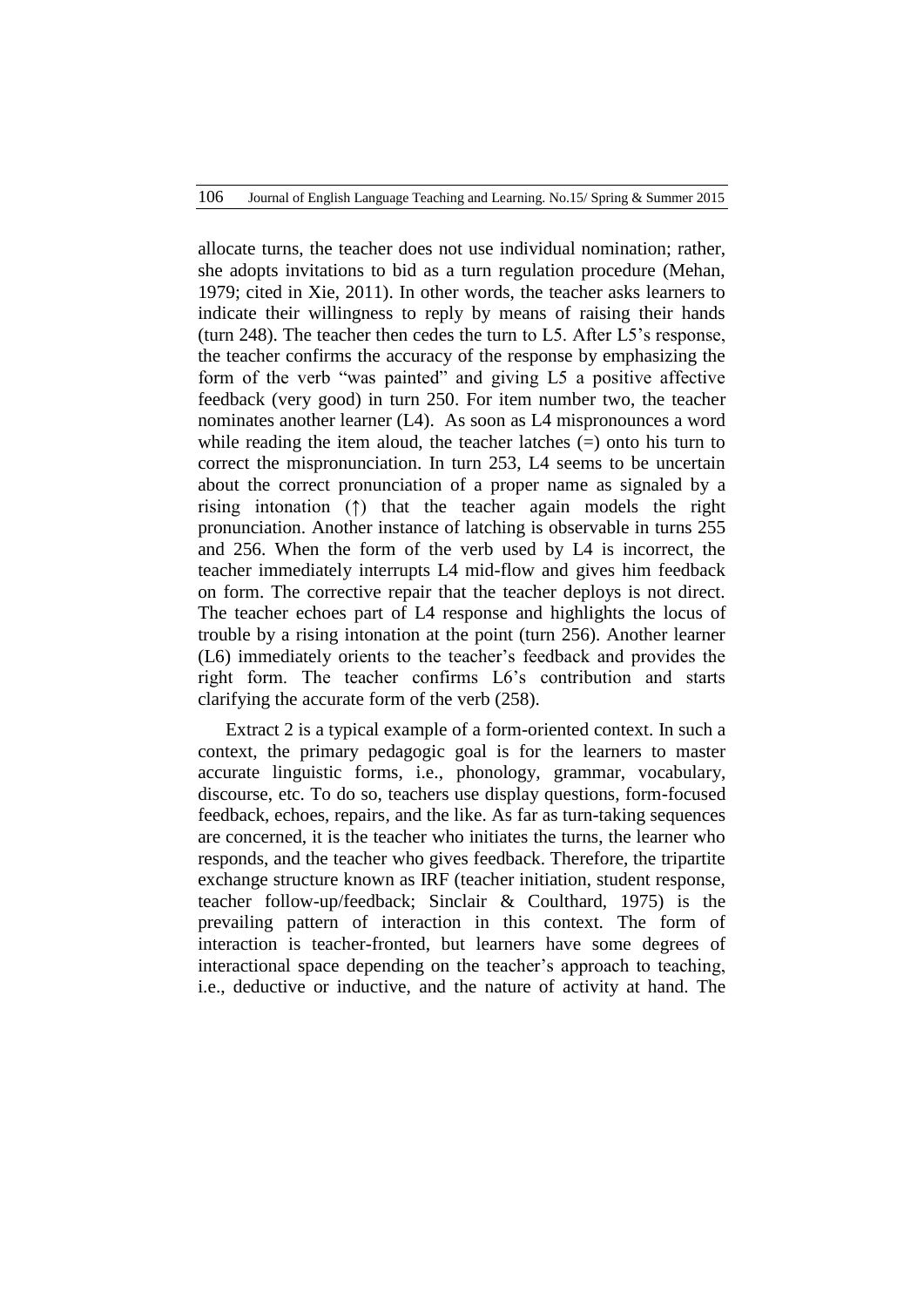allocate turns, the teacher does not use individual nomination; rather, she adopts invitations to bid as a turn regulation procedure (Mehan, 1979; cited in Xie, 2011). In other words, the teacher asks learners to indicate their willingness to reply by means of raising their hands (turn 248). The teacher then cedes the turn to L5. After L5"s response, the teacher confirms the accuracy of the response by emphasizing the form of the verb "was painted" and giving L5 a positive affective feedback (very good) in turn 250. For item number two, the teacher nominates another learner (L4). As soon as L4 mispronounces a word while reading the item aloud, the teacher latches (=) onto his turn to correct the mispronunciation. In turn 253, L4 seems to be uncertain about the correct pronunciation of a proper name as signaled by a rising intonation (↑) that the teacher again models the right pronunciation. Another instance of latching is observable in turns 255 and 256. When the form of the verb used by L4 is incorrect, the teacher immediately interrupts L4 mid-flow and gives him feedback on form. The corrective repair that the teacher deploys is not direct. The teacher echoes part of L4 response and highlights the locus of trouble by a rising intonation at the point (turn 256). Another learner (L6) immediately orients to the teacher"s feedback and provides the right form. The teacher confirms L6"s contribution and starts clarifying the accurate form of the verb (258).

Extract 2 is a typical example of a form-oriented context. In such a context, the primary pedagogic goal is for the learners to master accurate linguistic forms, i.e., phonology, grammar, vocabulary, discourse, etc. To do so, teachers use display questions, form-focused feedback, echoes, repairs, and the like. As far as turn-taking sequences are concerned, it is the teacher who initiates the turns, the learner who responds, and the teacher who gives feedback. Therefore, the tripartite exchange structure known as IRF (teacher initiation, student response, teacher follow-up/feedback; Sinclair & Coulthard, 1975) is the prevailing pattern of interaction in this context. The form of interaction is teacher-fronted, but learners have some degrees of interactional space depending on the teacher"s approach to teaching, i.e., deductive or inductive, and the nature of activity at hand. The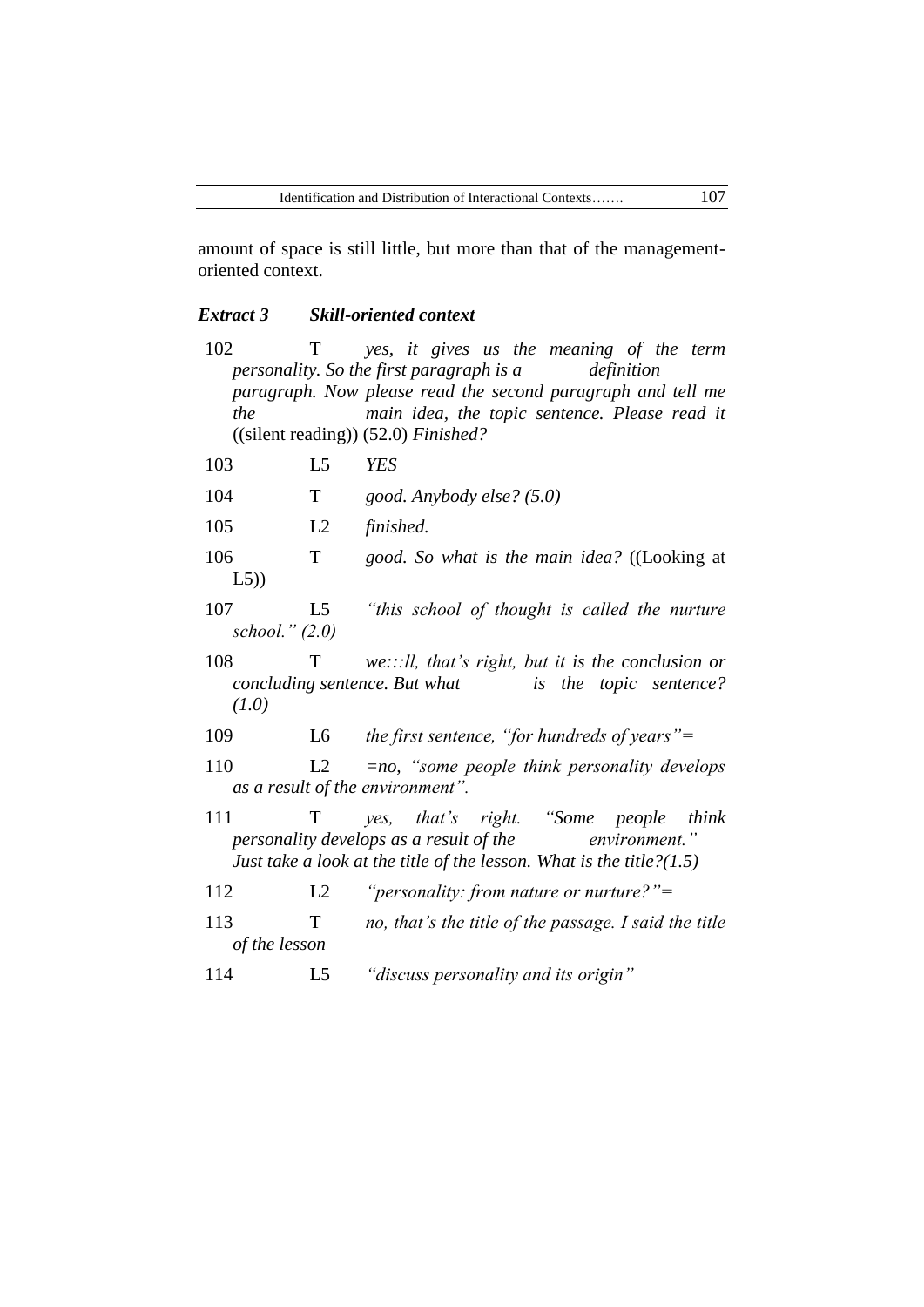amount of space is still little, but more than that of the managementoriented context.

## *Extract 3 Skill-oriented context*

- 102 T *yes, it gives us the meaning of the term personality. So the first paragraph is a definition paragraph. Now please read the second paragraph and tell me the main idea, the topic sentence. Please read it* ((silent reading)) (52.0) *Finished?*
- 103 L5 *YES*
- 104 T *good. Anybody else? (5.0)*
- 105 L2 *finished.*
- 106 T *good. So what is the main idea?* ((Looking at L5))
- 107 L5 *"this school of thought is called the nurture school." (2.0)*
- 108 T *we:::ll, that's right, but it is the conclusion or concluding sentence. But what is the topic sentence? (1.0)*
- 109 L6 *the first sentence, "for hundreds of years"=*
- 110 L2 *=no, "some people think personality develops as a result of the environment".*
- 111 T *yes, that's right. "Some people think personality develops as a result of the environment." Just take a look at the title of the lesson. What is the title?(1.5)*
- 112 L2 *"personality: from nature or nurture?"=*
- 113 T *no, that's the title of the passage. I said the title of the lesson*
- 114 L5 *"discuss personality and its origin"*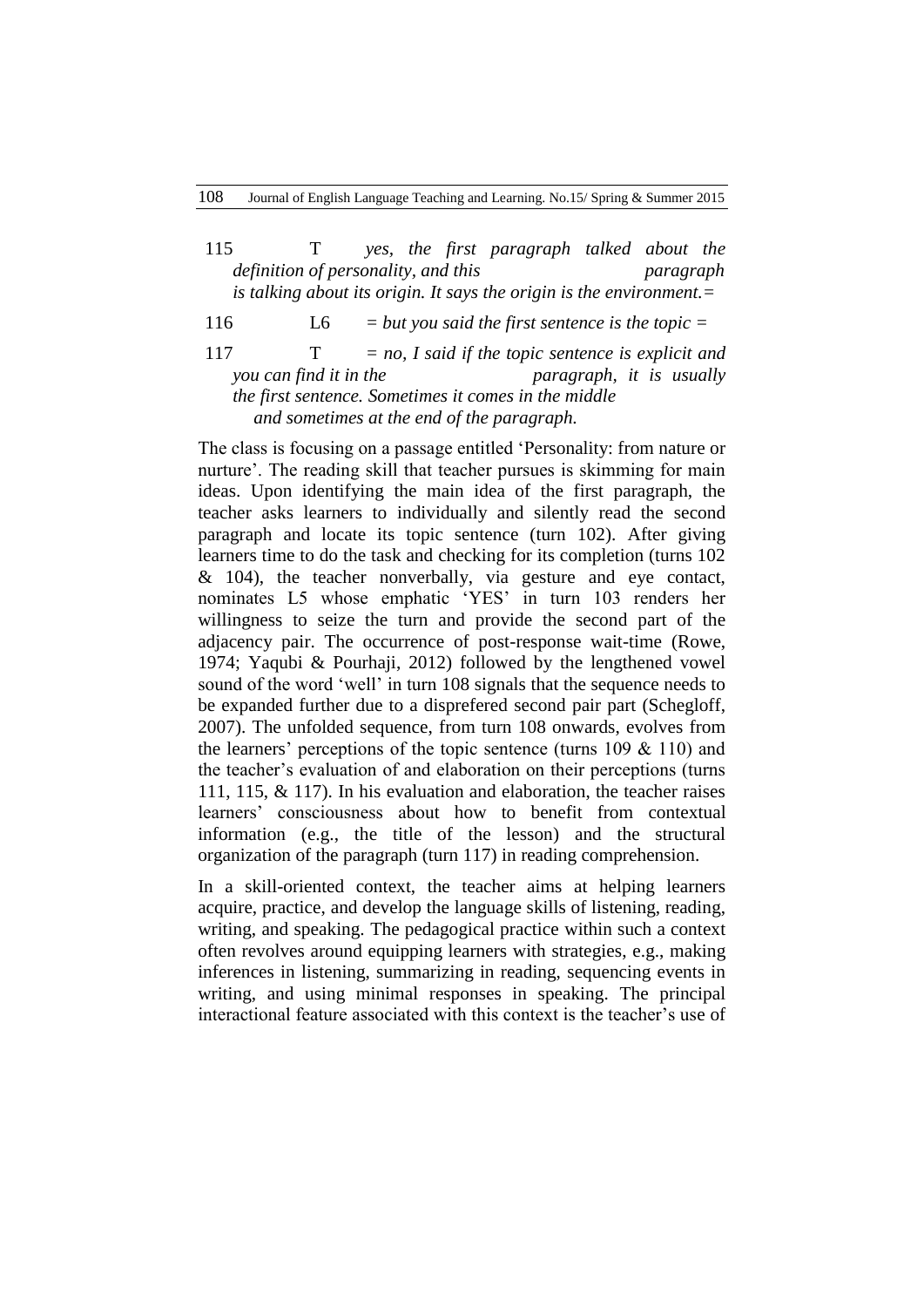- 115 T *yes, the first paragraph talked about the definition of personality, and this paragraph is talking about its origin. It says the origin is the environment.=*
- 116 L6 *= but you said the first sentence is the topic =*
- 117 T *= no, I said if the topic sentence is explicit and you can find it in the paragraph, it is usually the first sentence. Sometimes it comes in the middle and sometimes at the end of the paragraph.*

The class is focusing on a passage entitled "Personality: from nature or nurture'. The reading skill that teacher pursues is skimming for main ideas. Upon identifying the main idea of the first paragraph, the teacher asks learners to individually and silently read the second paragraph and locate its topic sentence (turn 102). After giving learners time to do the task and checking for its completion (turns 102 & 104), the teacher nonverbally, via gesture and eye contact, nominates L5 whose emphatic "YES" in turn 103 renders her willingness to seize the turn and provide the second part of the adjacency pair. The occurrence of post-response wait-time (Rowe, 1974; Yaqubi & Pourhaji, 2012) followed by the lengthened vowel sound of the word 'well' in turn 108 signals that the sequence needs to be expanded further due to a disprefered second pair part (Schegloff, 2007). The unfolded sequence, from turn 108 onwards, evolves from the learners' perceptions of the topic sentence (turns  $109 \& 110$ ) and the teacher"s evaluation of and elaboration on their perceptions (turns 111, 115, & 117). In his evaluation and elaboration, the teacher raises learners" consciousness about how to benefit from contextual information (e.g., the title of the lesson) and the structural organization of the paragraph (turn 117) in reading comprehension.

In a skill-oriented context, the teacher aims at helping learners acquire, practice, and develop the language skills of listening, reading, writing, and speaking. The pedagogical practice within such a context often revolves around equipping learners with strategies, e.g., making inferences in listening, summarizing in reading, sequencing events in writing, and using minimal responses in speaking. The principal interactional feature associated with this context is the teacher's use of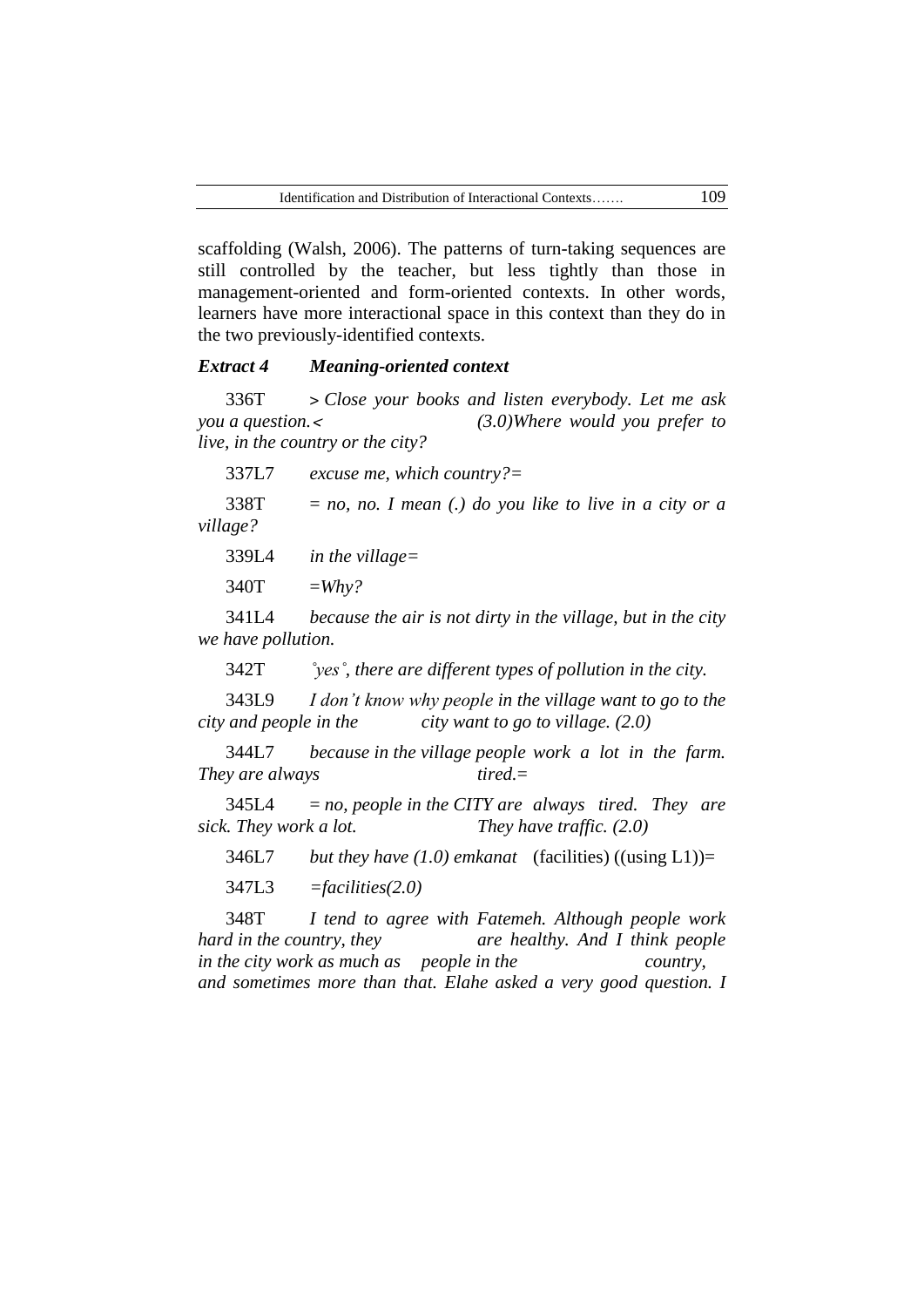scaffolding (Walsh, 2006). The patterns of turn-taking sequences are still controlled by the teacher, but less tightly than those in management-oriented and form-oriented contexts. In other words, learners have more interactional space in this context than they do in the two previously-identified contexts.

#### *Extract 4 Meaning-oriented context*

336T ˃ *Close your books and listen everybody. Let me ask you a question.*˂ *(3.0)Where would you prefer to live, in the country or the city?*

337L7 *excuse me, which country?=*

 $338T = no$ , no. I mean (.) do you like to live in a city or a *village?*

339L4 *in the village=*

 $340T = Whv?$ 

341L4 *because the air is not dirty in the village, but in the city we have pollution.*

342T *˚yes˚, there are different types of pollution in the city.* 

343L9 *I don't know why people in the village want to go to the city and people in the city want to go to village. (2.0)*

344L7 *because in the village people work a lot in the farm. They are always tired.*=

345L4 = *no, people in the CITY are always tired. They are sick. They work a lot. They have traffic. (2.0)*

346L7 *but they have (1.0) emkanat* (facilities) ((using L1))=

347L3 *=facilities(2.0)*

348T *I tend to agree with Fatemeh. Although people work hard in the country, they are healthy. And I think people in the city work as much as people in the country, and sometimes more than that. Elahe asked a very good question. I*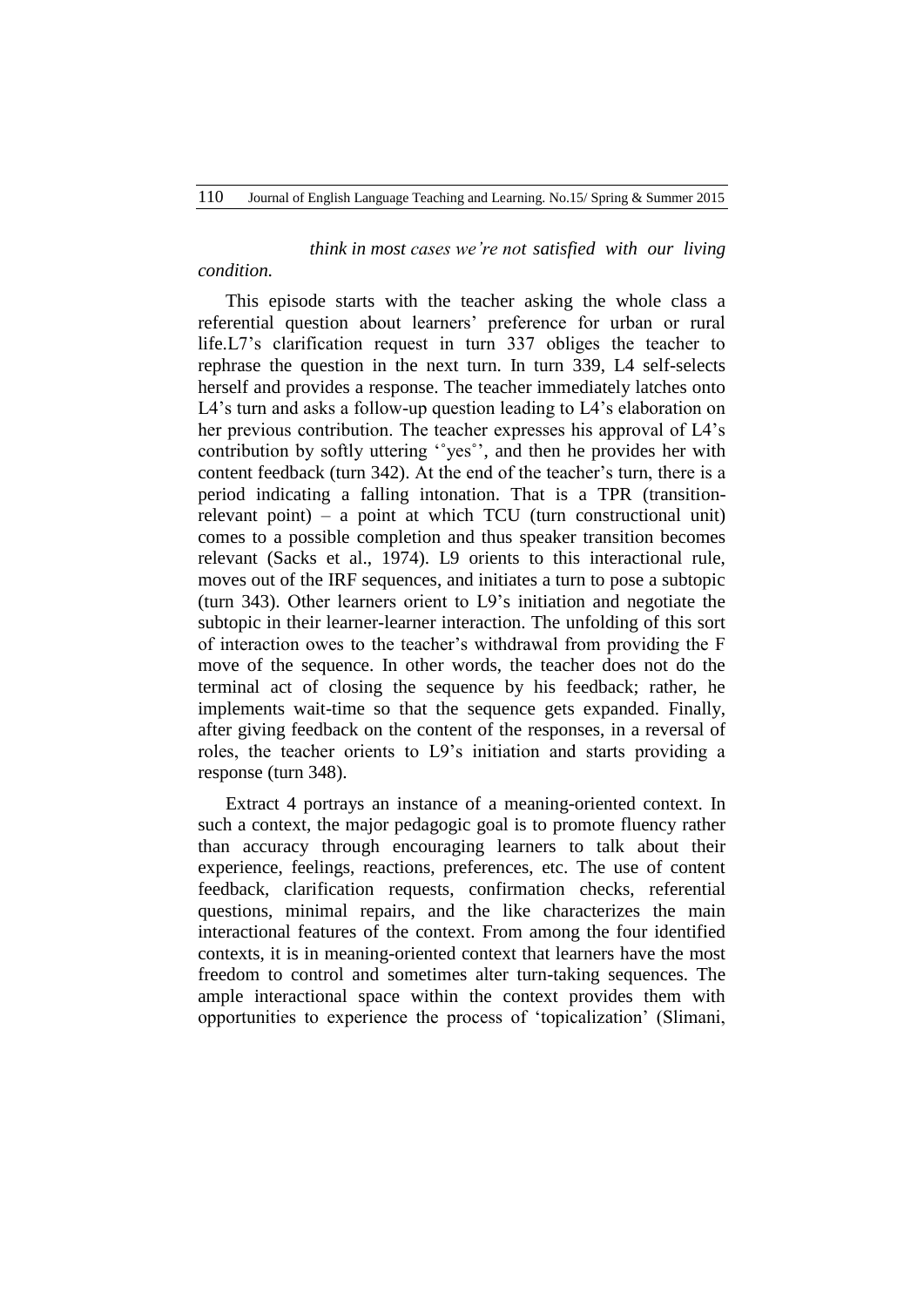*condition.*

# *think in most cases we're not satisfied with our living*

This episode starts with the teacher asking the whole class a referential question about learners" preference for urban or rural life.L7"s clarification request in turn 337 obliges the teacher to rephrase the question in the next turn. In turn 339, L4 self-selects herself and provides a response. The teacher immediately latches onto L4's turn and asks a follow-up question leading to L4's elaboration on her previous contribution. The teacher expresses his approval of L4"s contribution by softly uttering "yes", and then he provides her with content feedback (turn 342). At the end of the teacher's turn, there is a period indicating a falling intonation. That is a TPR (transitionrelevant point) – a point at which  $TCU$  (turn constructional unit) comes to a possible completion and thus speaker transition becomes relevant (Sacks et al., 1974). L9 orients to this interactional rule, moves out of the IRF sequences, and initiates a turn to pose a subtopic (turn 343). Other learners orient to L9"s initiation and negotiate the subtopic in their learner-learner interaction. The unfolding of this sort of interaction owes to the teacher"s withdrawal from providing the F move of the sequence. In other words, the teacher does not do the terminal act of closing the sequence by his feedback; rather, he implements wait-time so that the sequence gets expanded. Finally, after giving feedback on the content of the responses, in a reversal of roles, the teacher orients to L9"s initiation and starts providing a response (turn 348).

Extract 4 portrays an instance of a meaning-oriented context. In such a context, the major pedagogic goal is to promote fluency rather than accuracy through encouraging learners to talk about their experience, feelings, reactions, preferences, etc. The use of content feedback, clarification requests, confirmation checks, referential questions, minimal repairs, and the like characterizes the main interactional features of the context. From among the four identified contexts, it is in meaning-oriented context that learners have the most freedom to control and sometimes alter turn-taking sequences. The ample interactional space within the context provides them with opportunities to experience the process of "topicalization" (Slimani,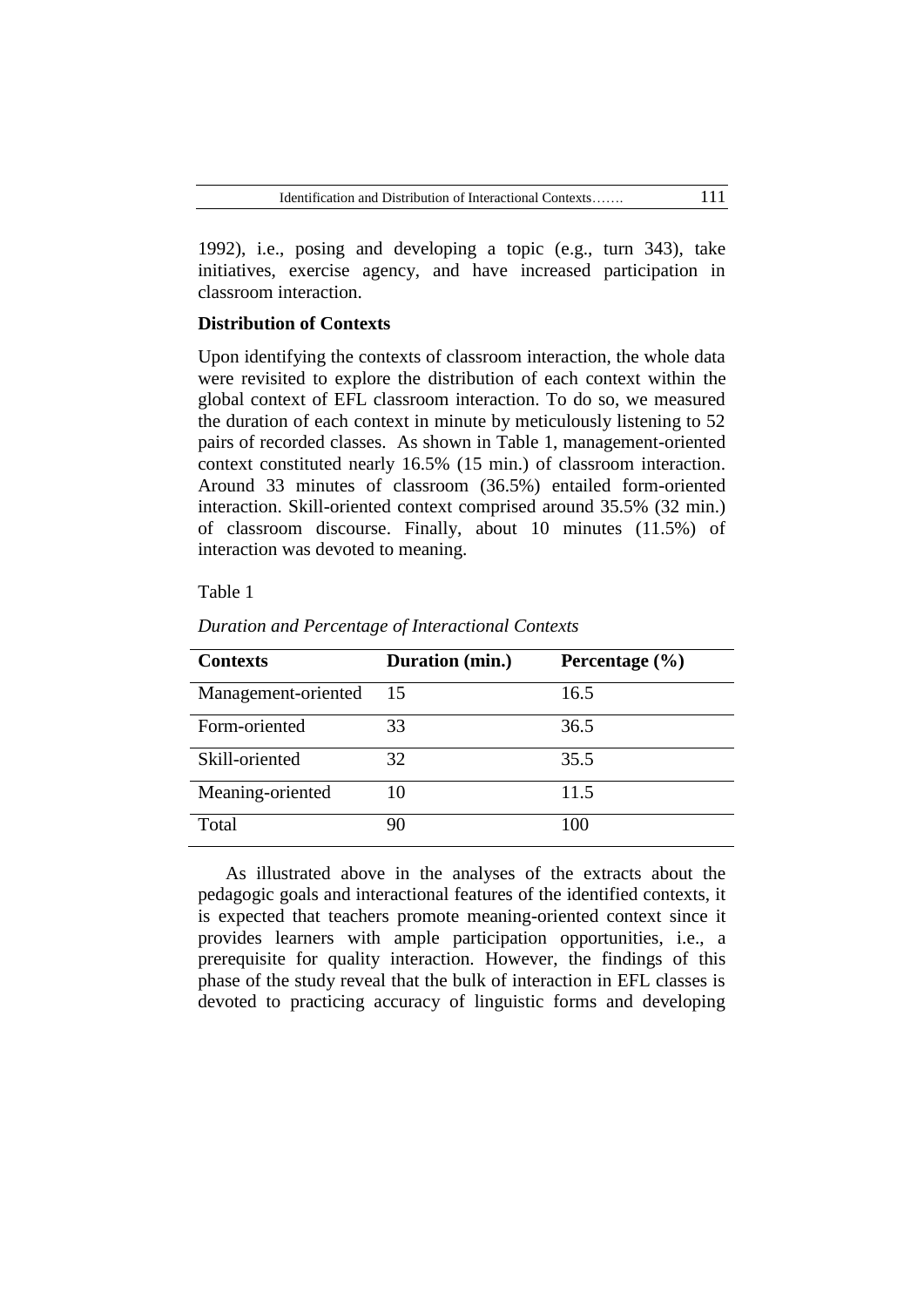1992), i.e., posing and developing a topic (e.g., turn 343), take initiatives, exercise agency, and have increased participation in classroom interaction.

# **Distribution of Contexts**

Upon identifying the contexts of classroom interaction, the whole data were revisited to explore the distribution of each context within the global context of EFL classroom interaction. To do so, we measured the duration of each context in minute by meticulously listening to 52 pairs of recorded classes. As shown in Table 1, management-oriented context constituted nearly 16.5% (15 min.) of classroom interaction. Around 33 minutes of classroom (36.5%) entailed form-oriented interaction. Skill-oriented context comprised around 35.5% (32 min.) of classroom discourse. Finally, about 10 minutes (11.5%) of interaction was devoted to meaning.

## Table 1

| <b>Contexts</b>     | Duration (min.) | Percentage $(\% )$ |
|---------------------|-----------------|--------------------|
| Management-oriented | 15              | 16.5               |
| Form-oriented       | 33              | 36.5               |
| Skill-oriented      | 32              | 35.5               |
| Meaning-oriented    | 10              | 11.5               |
| Total               | 90              | 100                |

*Duration and Percentage of Interactional Contexts*

As illustrated above in the analyses of the extracts about the pedagogic goals and interactional features of the identified contexts, it is expected that teachers promote meaning-oriented context since it provides learners with ample participation opportunities, i.e., a prerequisite for quality interaction. However, the findings of this phase of the study reveal that the bulk of interaction in EFL classes is devoted to practicing accuracy of linguistic forms and developing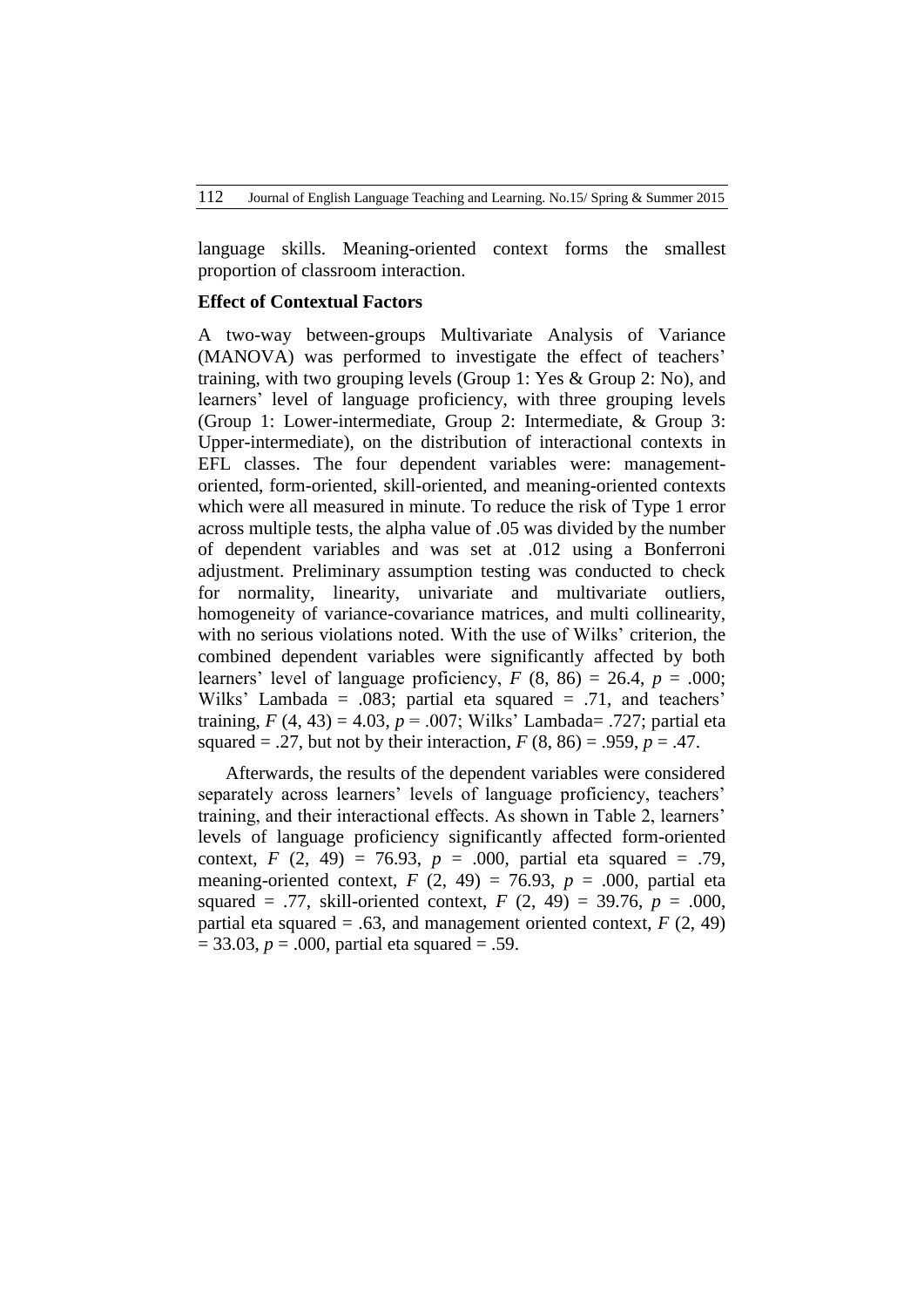language skills. Meaning-oriented context forms the smallest proportion of classroom interaction.

#### **Effect of Contextual Factors**

A two-way between-groups Multivariate Analysis of Variance (MANOVA) was performed to investigate the effect of teachers' training, with two grouping levels (Group 1: Yes & Group 2: No), and learners" level of language proficiency, with three grouping levels (Group 1: Lower-intermediate, Group 2: Intermediate, & Group 3: Upper-intermediate), on the distribution of interactional contexts in EFL classes. The four dependent variables were: managementoriented, form-oriented, skill-oriented, and meaning-oriented contexts which were all measured in minute. To reduce the risk of Type 1 error across multiple tests, the alpha value of .05 was divided by the number of dependent variables and was set at .012 using a Bonferroni adjustment. Preliminary assumption testing was conducted to check for normality, linearity, univariate and multivariate outliers, homogeneity of variance-covariance matrices, and multi collinearity, with no serious violations noted. With the use of Wilks' criterion, the combined dependent variables were significantly affected by both learners' level of language proficiency,  $F(8, 86) = 26.4$ ,  $p = .000$ ; Wilks' Lambada =  $.083$ ; partial eta squared =  $.71$ , and teachers' training,  $F(4, 43) = 4.03$ ,  $p = .007$ ; Wilks' Lambada= .727; partial eta squared = .27, but not by their interaction,  $F(8, 86) = .959$ ,  $p = .47$ .

Afterwards, the results of the dependent variables were considered separately across learners' levels of language proficiency, teachers' training, and their interactional effects. As shown in Table 2, learners" levels of language proficiency significantly affected form-oriented context,  $F(2, 49) = 76.93$ ,  $p = .000$ , partial eta squared = .79, meaning-oriented context,  $F(2, 49) = 76.93$ ,  $p = .000$ , partial eta squared = .77, skill-oriented context,  $F(2, 49) = 39.76$ ,  $p = .000$ , partial eta squared  $= .63$ , and management oriented context,  $F(2, 49)$  $= 33.03, p = .000$ , partial eta squared  $= .59$ .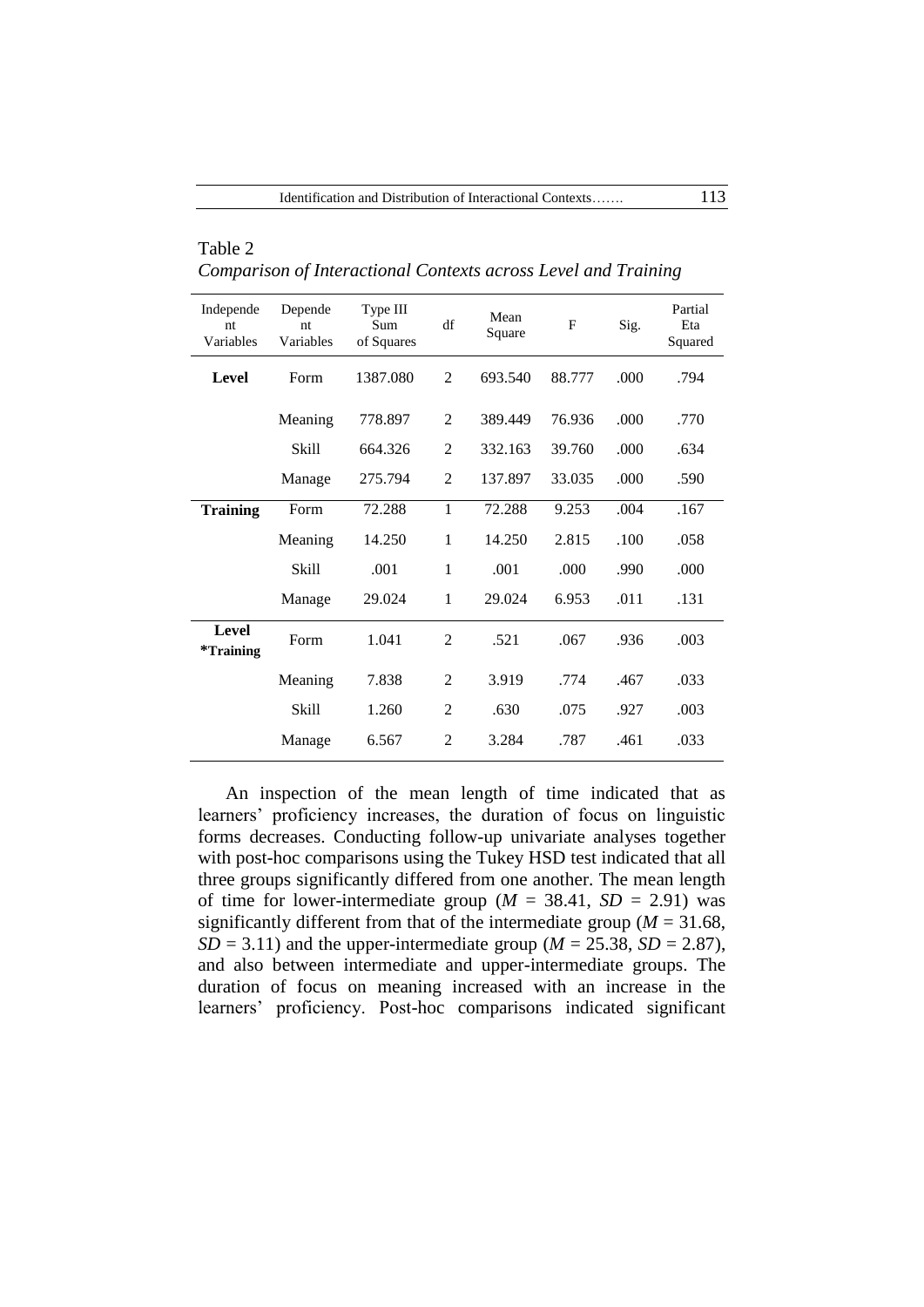| Independe<br>nt<br>Variables | Depende<br>nt<br>Variables | Type III<br>Sum<br>of Squares | df             | Mean<br>Square | F      | Sig. | Partial<br>Eta<br>Squared |
|------------------------------|----------------------------|-------------------------------|----------------|----------------|--------|------|---------------------------|
| Level                        | Form                       | 1387.080                      | $\overline{2}$ | 693.540        | 88.777 | .000 | .794                      |
|                              | Meaning                    | 778.897                       | $\overline{2}$ | 389.449        | 76.936 | .000 | .770                      |
|                              | <b>Skill</b>               | 664.326                       | $\overline{2}$ | 332.163        | 39.760 | .000 | .634                      |
|                              | Manage                     | 275.794                       | $\overline{2}$ | 137.897        | 33.035 | .000 | .590                      |
| <b>Training</b>              | Form                       | 72.288                        | 1              | 72.288         | 9.253  | .004 | .167                      |
|                              | Meaning                    | 14.250                        | 1              | 14.250         | 2.815  | .100 | .058                      |
|                              | <b>Skill</b>               | .001                          | 1              | .001           | .000.  | .990 | .000                      |
|                              | Manage                     | 29.024                        | 1              | 29.024         | 6.953  | .011 | .131                      |
| Level<br>*Training           | Form                       | 1.041                         | 2              | .521           | .067   | .936 | .003                      |
|                              | Meaning                    | 7.838                         | $\overline{2}$ | 3.919          | .774   | .467 | .033                      |
|                              | <b>Skill</b>               | 1.260                         | $\overline{2}$ | .630           | .075   | .927 | .003                      |
|                              | Manage                     | 6.567                         | $\overline{2}$ | 3.284          | .787   | .461 | .033                      |

Table 2 *Comparison of Interactional Contexts across Level and Training* 

An inspection of the mean length of time indicated that as learners" proficiency increases, the duration of focus on linguistic forms decreases. Conducting follow-up univariate analyses together with post-hoc comparisons using the Tukey HSD test indicated that all three groups significantly differed from one another. The mean length of time for lower-intermediate group ( $M = 38.41$ ,  $SD = 2.91$ ) was significantly different from that of the intermediate group ( $M = 31.68$ ,  $SD = 3.11$ ) and the upper-intermediate group ( $M = 25.38$ ,  $SD = 2.87$ ), and also between intermediate and upper-intermediate groups. The duration of focus on meaning increased with an increase in the learners" proficiency. Post-hoc comparisons indicated significant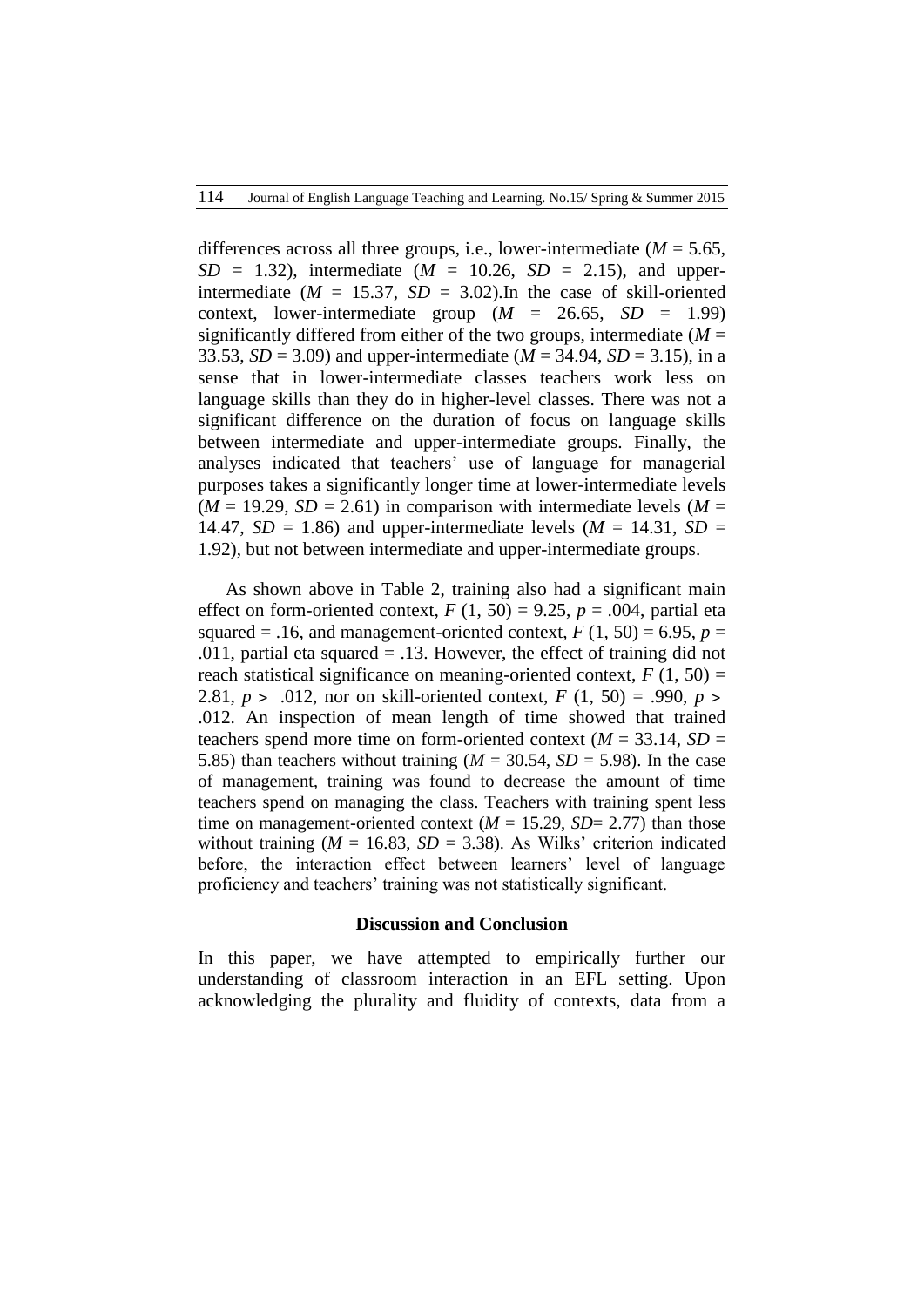differences across all three groups, i.e., lower-intermediate  $(M = 5.65)$ ,  $SD = 1.32$ ), intermediate ( $M = 10.26$ ,  $SD = 2.15$ ), and upperintermediate  $(M = 15.37, SD = 3.02)$ . In the case of skill-oriented context, lower-intermediate group  $(M = 26.65, SD = 1.99)$ significantly differed from either of the two groups, intermediate  $(M =$ 33.53,  $SD = 3.09$ ) and upper-intermediate ( $M = 34.94$ ,  $SD = 3.15$ ), in a sense that in lower-intermediate classes teachers work less on language skills than they do in higher-level classes. There was not a significant difference on the duration of focus on language skills between intermediate and upper-intermediate groups. Finally, the analyses indicated that teachers" use of language for managerial purposes takes a significantly longer time at lower-intermediate levels  $(M = 19.29, SD = 2.61)$  in comparison with intermediate levels  $(M =$ 14.47,  $SD = 1.86$ ) and upper-intermediate levels ( $M = 14.31$ ,  $SD =$ 1.92), but not between intermediate and upper-intermediate groups.

As shown above in Table 2, training also had a significant main effect on form-oriented context,  $F(1, 50) = 9.25$ ,  $p = .004$ , partial eta squared = .16, and management-oriented context,  $F(1, 50) = 6.95$ ,  $p =$ .011, partial eta squared = .13. However, the effect of training did not reach statistical significance on meaning-oriented context,  $F(1, 50) =$ 2.81,  $p > .012$ , nor on skill-oriented context,  $F(1, 50) = .990$ ,  $p >$ .012. An inspection of mean length of time showed that trained teachers spend more time on form-oriented context  $(M = 33.14, SD =$ 5.85) than teachers without training ( $M = 30.54$ ,  $SD = 5.98$ ). In the case of management, training was found to decrease the amount of time teachers spend on managing the class. Teachers with training spent less time on management-oriented context  $(M = 15.29, SD = 2.77)$  than those without training ( $M = 16.83$ ,  $SD = 3.38$ ). As Wilks' criterion indicated before, the interaction effect between learners' level of language proficiency and teachers" training was not statistically significant.

#### **Discussion and Conclusion**

In this paper, we have attempted to empirically further our understanding of classroom interaction in an EFL setting. Upon acknowledging the plurality and fluidity of contexts, data from a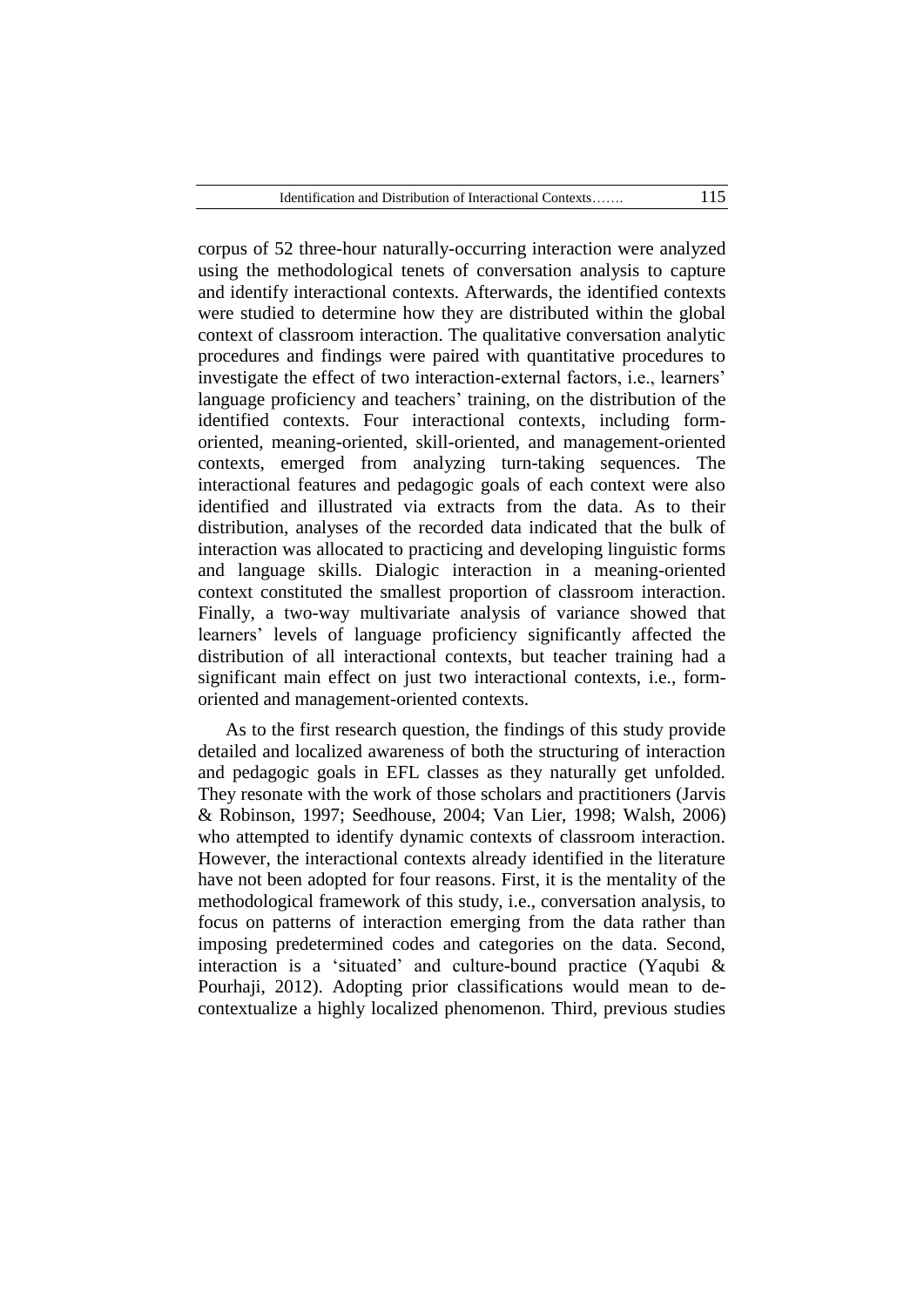corpus of 52 three-hour naturally-occurring interaction were analyzed using the methodological tenets of conversation analysis to capture and identify interactional contexts. Afterwards, the identified contexts were studied to determine how they are distributed within the global context of classroom interaction. The qualitative conversation analytic procedures and findings were paired with quantitative procedures to investigate the effect of two interaction-external factors, i.e., learners' language proficiency and teachers' training, on the distribution of the identified contexts. Four interactional contexts, including formoriented, meaning-oriented, skill-oriented, and management-oriented contexts, emerged from analyzing turn-taking sequences. The interactional features and pedagogic goals of each context were also identified and illustrated via extracts from the data. As to their distribution, analyses of the recorded data indicated that the bulk of interaction was allocated to practicing and developing linguistic forms and language skills. Dialogic interaction in a meaning-oriented context constituted the smallest proportion of classroom interaction. Finally, a two-way multivariate analysis of variance showed that learners" levels of language proficiency significantly affected the distribution of all interactional contexts, but teacher training had a significant main effect on just two interactional contexts, i.e., formoriented and management-oriented contexts.

As to the first research question, the findings of this study provide detailed and localized awareness of both the structuring of interaction and pedagogic goals in EFL classes as they naturally get unfolded. They resonate with the work of those scholars and practitioners (Jarvis & Robinson, 1997; Seedhouse, 2004; Van Lier, 1998; Walsh, 2006) who attempted to identify dynamic contexts of classroom interaction. However, the interactional contexts already identified in the literature have not been adopted for four reasons. First, it is the mentality of the methodological framework of this study, i.e., conversation analysis, to focus on patterns of interaction emerging from the data rather than imposing predetermined codes and categories on the data. Second, interaction is a 'situated' and culture-bound practice (Yaqubi  $\&$ Pourhaji, 2012). Adopting prior classifications would mean to decontextualize a highly localized phenomenon. Third, previous studies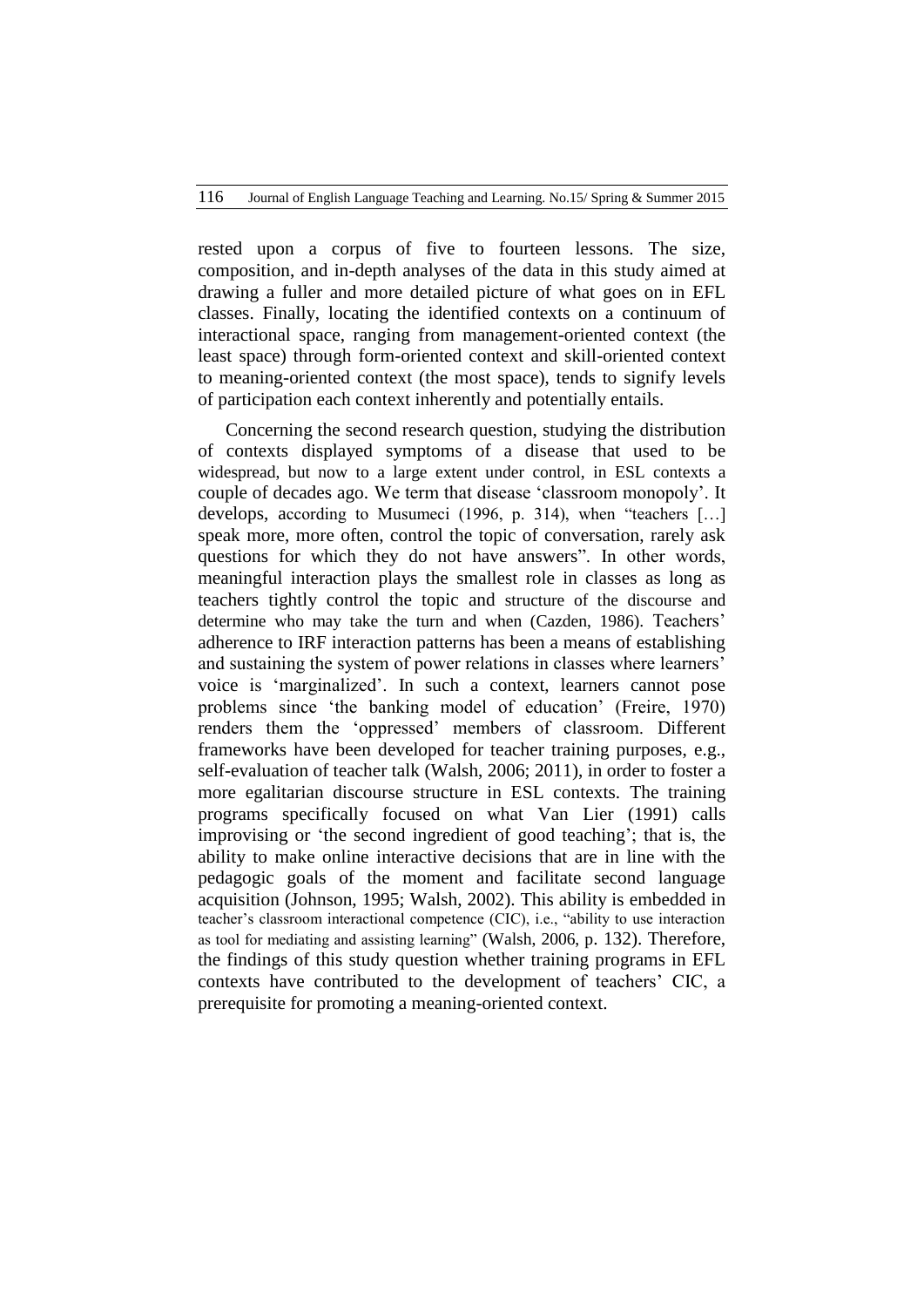rested upon a corpus of five to fourteen lessons. The size, composition, and in-depth analyses of the data in this study aimed at drawing a fuller and more detailed picture of what goes on in EFL classes. Finally, locating the identified contexts on a continuum of interactional space, ranging from management-oriented context (the least space) through form-oriented context and skill-oriented context to meaning-oriented context (the most space), tends to signify levels of participation each context inherently and potentially entails.

Concerning the second research question, studying the distribution of contexts displayed symptoms of a disease that used to be widespread, but now to a large extent under control, in ESL contexts a couple of decades ago. We term that disease "classroom monopoly". It develops, according to Musumeci (1996, p. 314), when "teachers […] speak more, more often, control the topic of conversation, rarely ask questions for which they do not have answers". In other words, meaningful interaction plays the smallest role in classes as long as teachers tightly control the topic and structure of the discourse and determine who may take the turn and when (Cazden, 1986). Teachers' adherence to IRF interaction patterns has been a means of establishing and sustaining the system of power relations in classes where learners" voice is "marginalized". In such a context, learners cannot pose problems since "the banking model of education" (Freire, 1970) renders them the "oppressed" members of classroom. Different frameworks have been developed for teacher training purposes, e.g., self-evaluation of teacher talk (Walsh, 2006; 2011), in order to foster a more egalitarian discourse structure in ESL contexts. The training programs specifically focused on what Van Lier (1991) calls improvising or "the second ingredient of good teaching"; that is, the ability to make online interactive decisions that are in line with the pedagogic goals of the moment and facilitate second language acquisition (Johnson, 1995; Walsh, 2002). This ability is embedded in teacher"s classroom interactional competence (CIC), i.e., "ability to use interaction as tool for mediating and assisting learning" (Walsh, 2006, p. 132). Therefore, the findings of this study question whether training programs in EFL contexts have contributed to the development of teachers" CIC, a prerequisite for promoting a meaning-oriented context.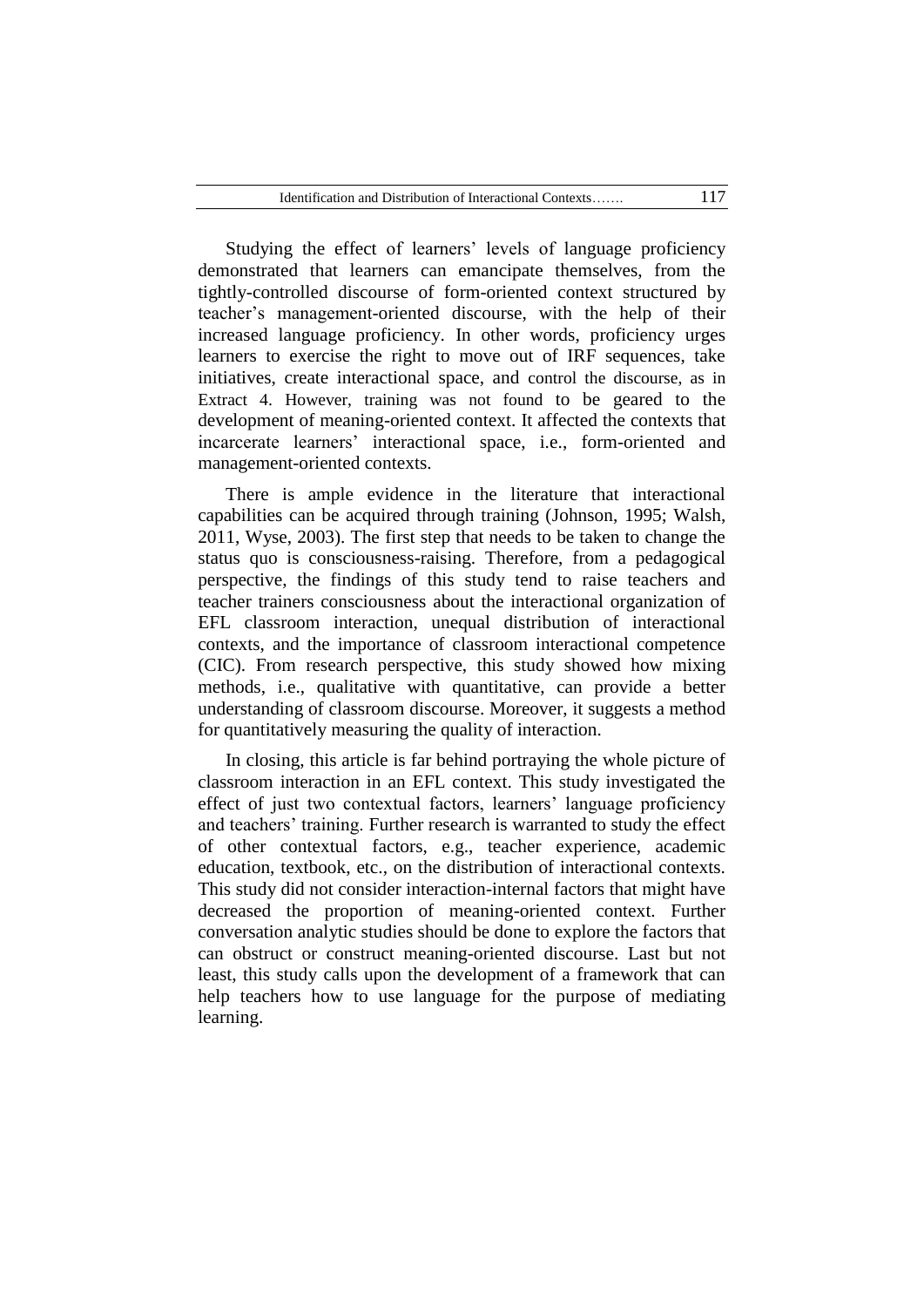Studying the effect of learners' levels of language proficiency demonstrated that learners can emancipate themselves, from the tightly-controlled discourse of form-oriented context structured by teacher"s management-oriented discourse, with the help of their increased language proficiency. In other words, proficiency urges learners to exercise the right to move out of IRF sequences, take initiatives, create interactional space, and control the discourse, as in Extract 4. However, training was not found to be geared to the development of meaning-oriented context. It affected the contexts that incarcerate learners" interactional space, i.e., form-oriented and management-oriented contexts.

There is ample evidence in the literature that interactional capabilities can be acquired through training (Johnson, 1995; Walsh, 2011, Wyse, 2003). The first step that needs to be taken to change the status quo is consciousness-raising. Therefore, from a pedagogical perspective, the findings of this study tend to raise teachers and teacher trainers consciousness about the interactional organization of EFL classroom interaction, unequal distribution of interactional contexts, and the importance of classroom interactional competence (CIC). From research perspective, this study showed how mixing methods, i.e., qualitative with quantitative, can provide a better understanding of classroom discourse. Moreover, it suggests a method for quantitatively measuring the quality of interaction.

In closing, this article is far behind portraying the whole picture of classroom interaction in an EFL context. This study investigated the effect of just two contextual factors, learners' language proficiency and teachers' training. Further research is warranted to study the effect of other contextual factors, e.g., teacher experience, academic education, textbook, etc., on the distribution of interactional contexts. This study did not consider interaction-internal factors that might have decreased the proportion of meaning-oriented context. Further conversation analytic studies should be done to explore the factors that can obstruct or construct meaning-oriented discourse. Last but not least, this study calls upon the development of a framework that can help teachers how to use language for the purpose of mediating learning.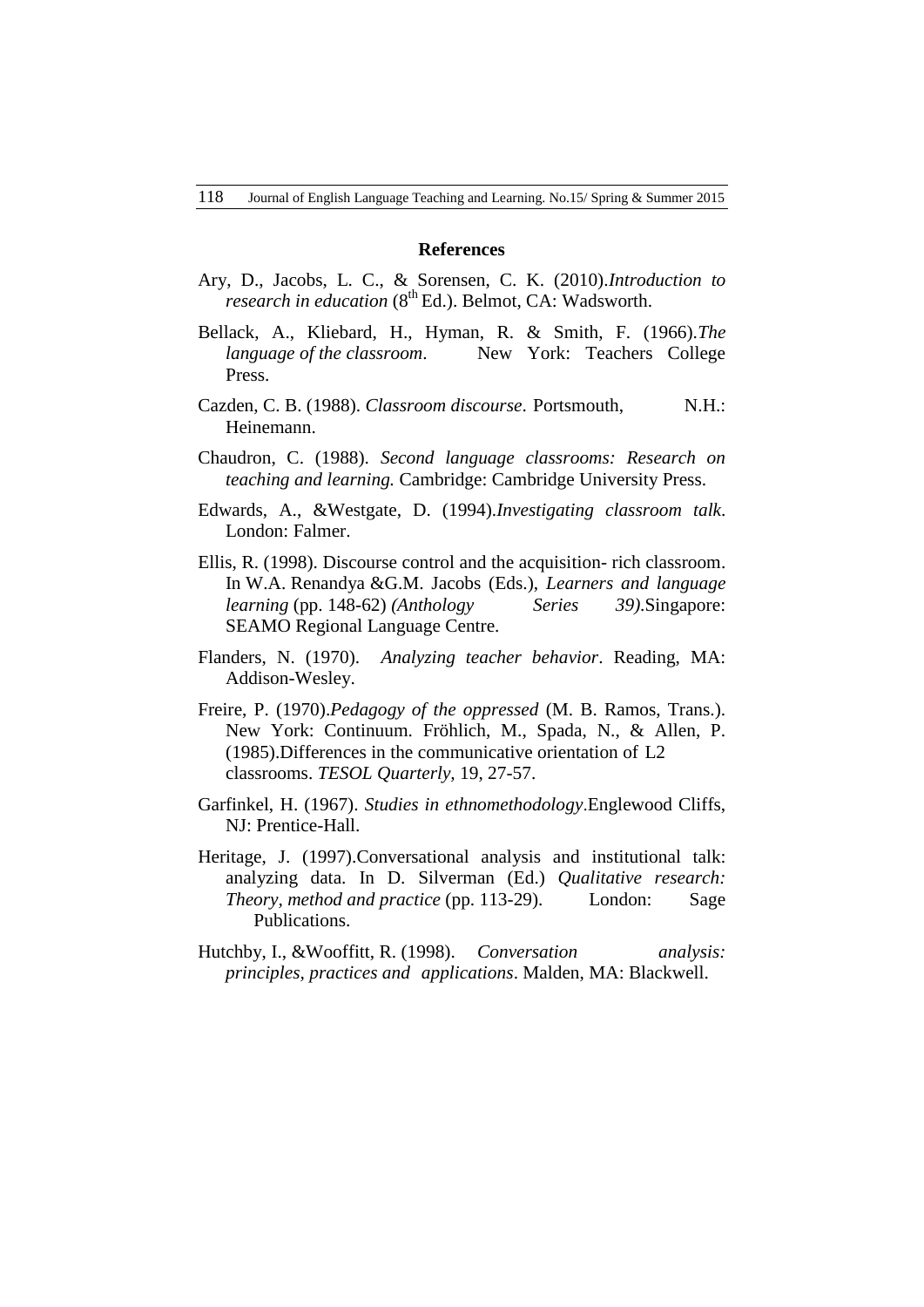#### **References**

- Ary, D., Jacobs, L. C., & Sorensen, C. K. (2010).*Introduction to research in education* ( $8<sup>th</sup> Ed$ .). Belmot, CA: Wadsworth.
- Bellack, A., Kliebard, H., Hyman, R. & Smith, F. (1966).*The language of the classroom*. New York: Teachers College Press.
- Cazden, C. B. (1988). *Classroom discourse*. Portsmouth, N.H.: Heinemann.
- Chaudron, C. (1988). *Second language classrooms: Research on teaching and learning.* Cambridge: Cambridge University Press.
- Edwards, A., &Westgate, D. (1994).*Investigating classroom talk*. London: Falmer.
- Ellis, R. (1998). Discourse control and the acquisition- rich classroom. In W.A. Renandya &G.M. Jacobs (Eds.), *Learners and language learning* (pp. 148-62) *(Anthology Series 39)*.Singapore: SEAMO Regional Language Centre.
- Flanders, N. (1970). *Analyzing teacher behavior*. Reading, MA: Addison-Wesley.
- Freire, P. (1970).*Pedagogy of the oppressed* (M. B. Ramos, Trans.). New York: Continuum. Fröhlich, M., Spada, N., & Allen, P. (1985).Differences in the communicative orientation of L2 classrooms. *TESOL Quarterly,* 19, 27-57.
- Garfinkel, H. (1967). *Studies in ethnomethodology*.Englewood Cliffs, NJ: Prentice-Hall.
- Heritage, J. (1997).Conversational analysis and institutional talk: analyzing data. In D. Silverman (Ed.) *Qualitative research: Theory, method and practice* (pp. 113-29). London: Sage Publications.
- Hutchby, I., &Wooffitt, R. (1998). *Conversation analysis: principles, practices and applications*. Malden, MA: Blackwell.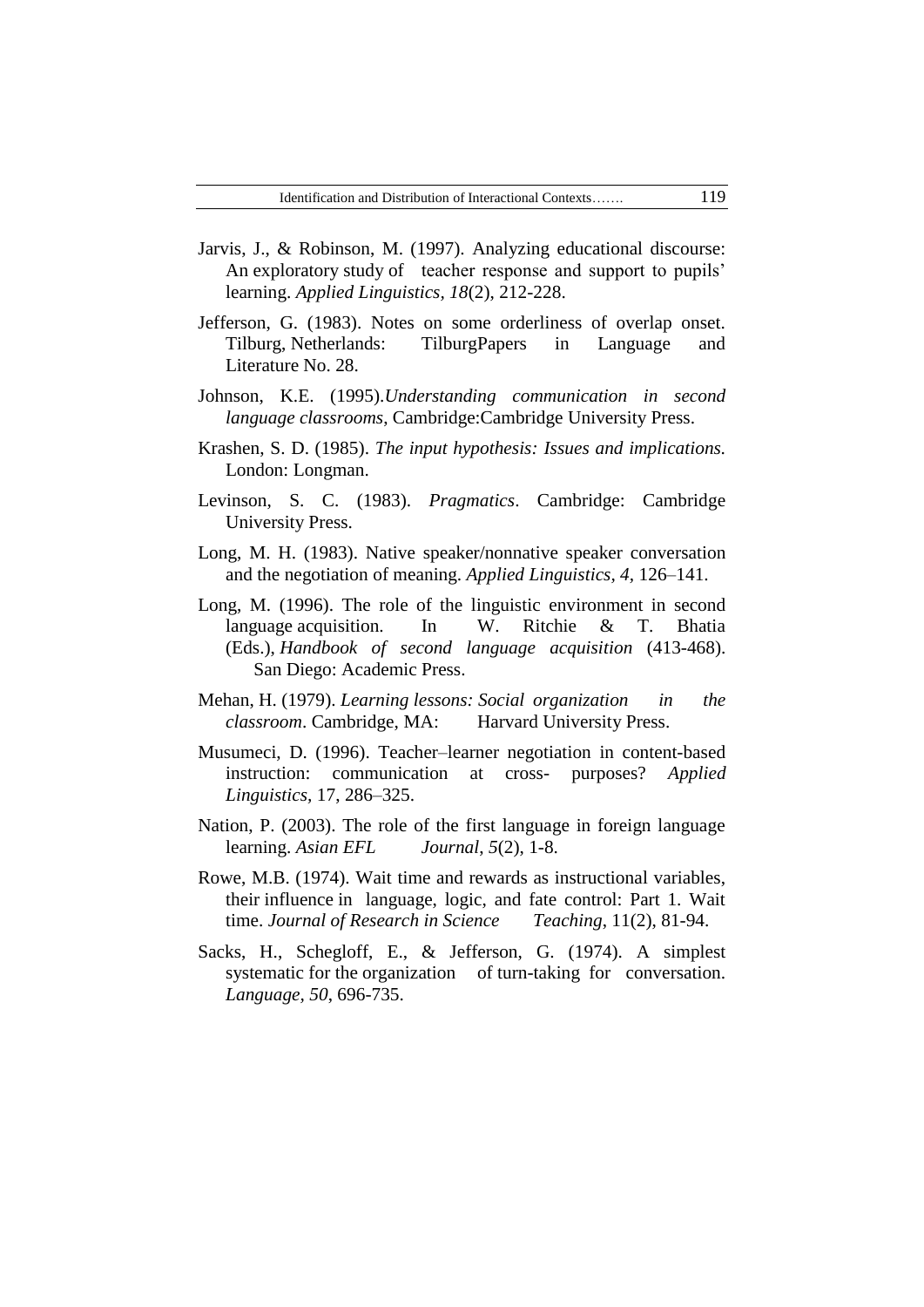- Jarvis, J., & Robinson, M. (1997). Analyzing educational discourse: An exploratory study of teacher response and support to pupils' learning. *Applied Linguistics, 18*(2), 212-228.
- Jefferson, G. (1983). Notes on some orderliness of overlap onset. Tilburg, Netherlands: TilburgPapers in Language and Literature No. 28.
- Johnson, K.E. (1995).*Understanding communication in second language classrooms*, Cambridge:Cambridge University Press.
- Krashen, S. D. (1985). *The input hypothesis: Issues and implications.*  London: Longman.
- Levinson, S. C. (1983). *Pragmatics*. Cambridge: Cambridge University Press.
- Long, M. H. (1983). Native speaker/nonnative speaker conversation and the negotiation of meaning. *Applied Linguistics, 4,* 126–141.
- Long, M. (1996). The role of the linguistic environment in second language acquisition. In W. Ritchie & T. Bhatia (Eds.), *Handbook of second language acquisition* (413-468). San Diego: Academic Press.
- Mehan, H. (1979). *Learning lessons: Social organization in the classroom*. Cambridge, MA: Harvard University Press.
- Musumeci, D. (1996). Teacher–learner negotiation in content-based instruction: communication at cross- purposes? *Applied Linguistics,* 17, 286–325.
- Nation, P. (2003). The role of the first language in foreign language learning. *Asian EFL Journal*, *5*(2), 1-8.
- Rowe, M.B. (1974). Wait time and rewards as instructional variables, their influence in language, logic, and fate control: Part 1. Wait time. *Journal of Research in Science Teaching*, 11(2), 81-94.
- Sacks, H., Schegloff, E., & Jefferson, G. (1974). A simplest systematic for the organization of turn-taking for conversation. *Language, 50*, 696-735.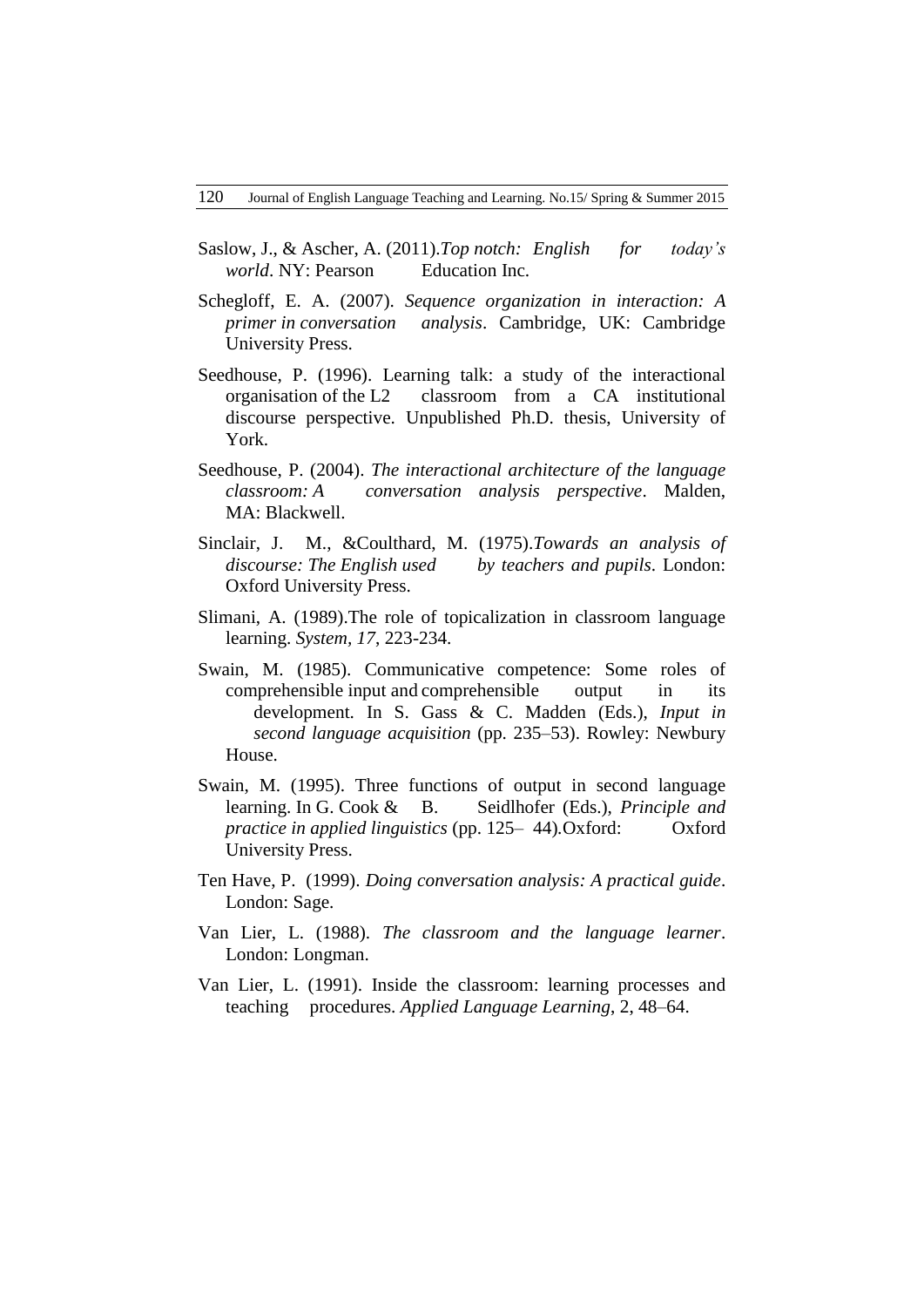- Saslow, J., & Ascher, A. (2011).*Top notch: English for today's world*. NY: Pearson Education Inc.
- Schegloff, E. A. (2007). *Sequence organization in interaction: A primer in conversation analysis*. Cambridge, UK: Cambridge University Press.
- Seedhouse, P. (1996). Learning talk: a study of the interactional organisation of the L2 classroom from a CA institutional discourse perspective. Unpublished Ph.D. thesis, University of York.
- Seedhouse, P. (2004). *The interactional architecture of the language classroom: A conversation analysis perspective*. Malden, MA: Blackwell.
- Sinclair, J. M., &Coulthard, M. (1975).*Towards an analysis of discourse: The English used by teachers and pupils*. London: Oxford University Press.
- Slimani, A. (1989).The role of topicalization in classroom language learning. *System, 17*, 223-234.
- Swain, M. (1985). Communicative competence: Some roles of comprehensible input and comprehensible output in its development. In S. Gass & C. Madden (Eds.), *Input in second language acquisition* (pp. 235–53). Rowley: Newbury House.
- Swain, M. (1995). Three functions of output in second language learning. In G. Cook & B. Seidlhofer (Eds.), *Principle and practice in applied linguistics* (pp. 125– 44)*.*Oxford: Oxford University Press.
- Ten Have, P. (1999). *Doing conversation analysis: A practical guide*. London: Sage.
- Van Lier, L. (1988). *The classroom and the language learner*. London: Longman.
- Van Lier, L. (1991). Inside the classroom: learning processes and teaching procedures. *Applied Language Learning*, 2, 48–64.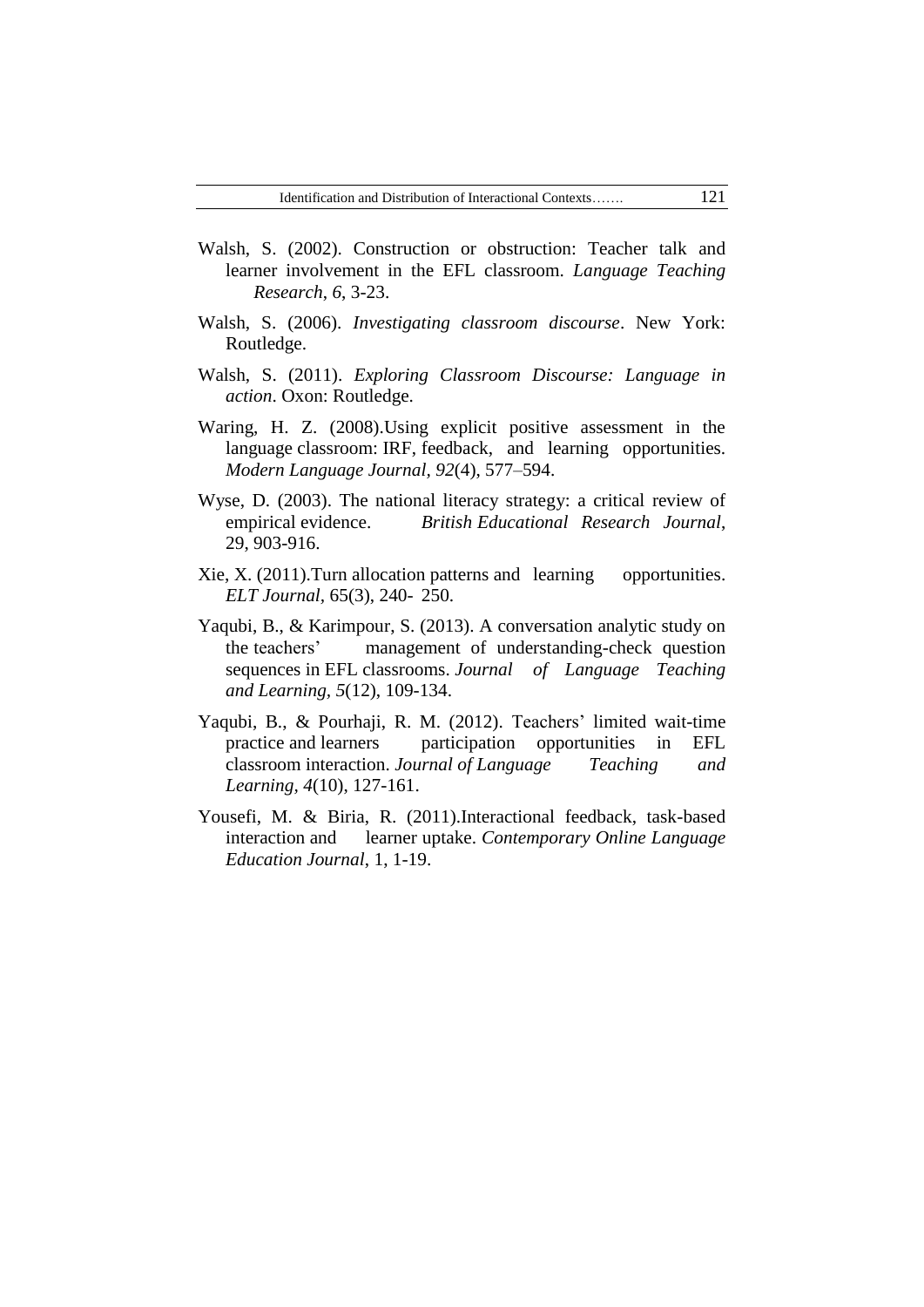- Walsh, S. (2002). Construction or obstruction: Teacher talk and learner involvement in the EFL classroom. *Language Teaching Research*, *6*, 3-23.
- Walsh, S. (2006). *Investigating classroom discourse*. New York: Routledge.
- Walsh, S. (2011). *Exploring Classroom Discourse: Language in action*. Oxon: Routledge.
- Waring, H. Z. (2008).Using explicit positive assessment in the language classroom: IRF, feedback, and learning opportunities. *Modern Language Journal, 92*(4), 577–594.
- Wyse, D. (2003). The national literacy strategy: a critical review of empirical evidence. *British Educational Research Journal*, 29, 903-916.
- Xie, X. (2011). Turn allocation patterns and learning opportunities. *ELT Journal,* 65(3), 240- 250.
- Yaqubi, B., & Karimpour, S. (2013). A conversation analytic study on the teachers" management of understanding-check question sequences in EFL classrooms. *Journal of Language Teaching and Learning, 5*(12), 109-134.
- Yaqubi, B., & Pourhaji, R. M. (2012). Teachers' limited wait-time practice and learners participation opportunities in EFL classroom interaction. *Journal of Language Teaching and Learning, 4*(10), 127-161.
- Yousefi, M. & Biria, R. (2011).Interactional feedback, task-based interaction and learner uptake. *Contemporary Online Language Education Journal*, 1, 1-19.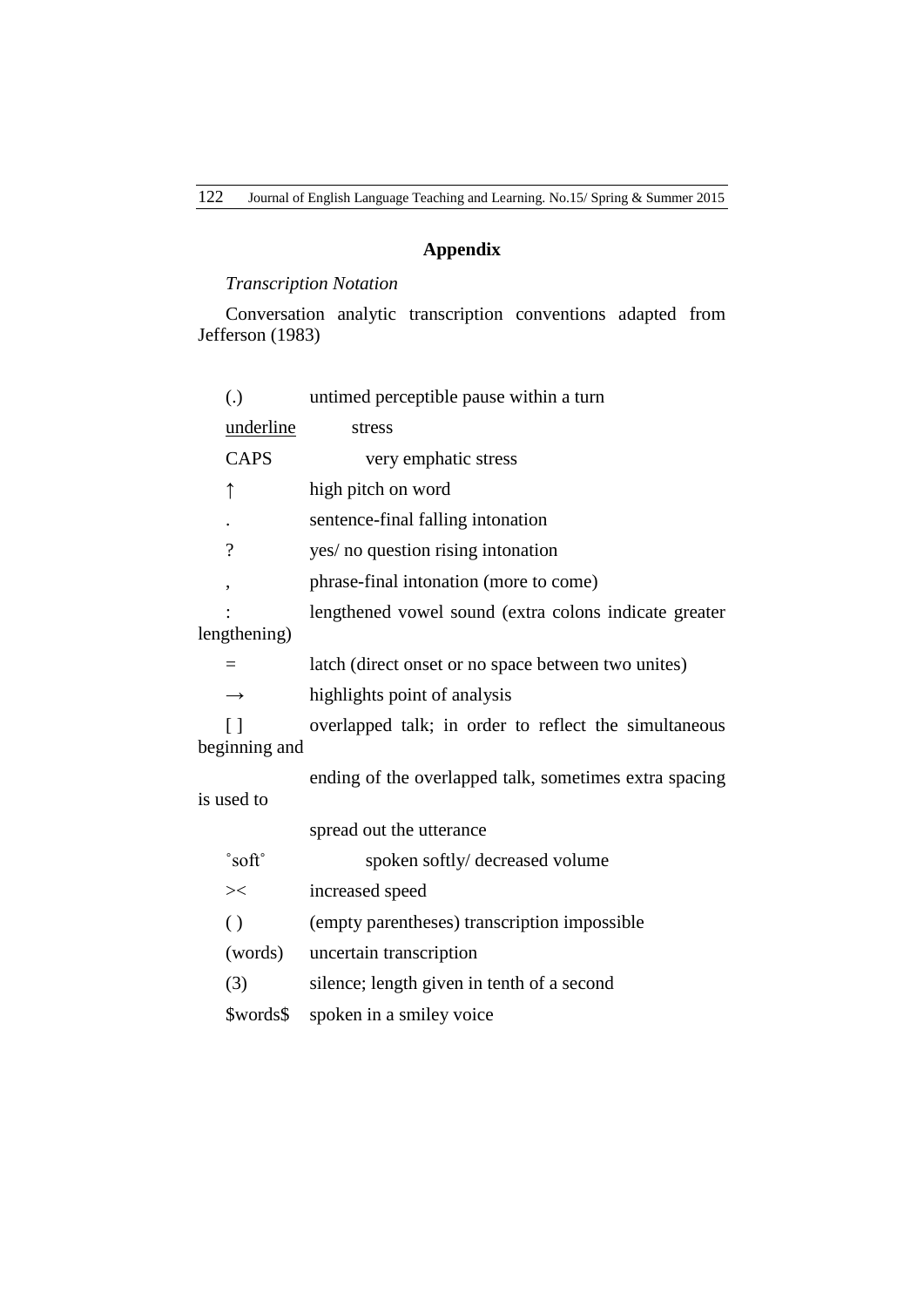# **Appendix**

# *Transcription Notation*

Conversation analytic transcription conventions adapted from Jefferson (1983)

| (.)                       | untimed perceptible pause within a turn                |  |  |
|---------------------------|--------------------------------------------------------|--|--|
| underline                 | stress                                                 |  |  |
| <b>CAPS</b>               | very emphatic stress                                   |  |  |
| $\uparrow$                | high pitch on word                                     |  |  |
|                           | sentence-final falling intonation                      |  |  |
| $\overline{\mathcal{L}}$  | yes/ no question rising intonation                     |  |  |
| $\pmb{\mathcal{I}}$       | phrase-final intonation (more to come)                 |  |  |
|                           | lengthened vowel sound (extra colons indicate greater  |  |  |
| lengthening)              |                                                        |  |  |
| $=$                       | latch (direct onset or no space between two unites)    |  |  |
| $\rightarrow$             | highlights point of analysis                           |  |  |
| $\lceil$<br>beginning and | overlapped talk; in order to reflect the simultaneous  |  |  |
| is used to                | ending of the overlapped talk, sometimes extra spacing |  |  |
|                           | spread out the utterance                               |  |  |
| $\degree$ soft $\degree$  | spoken softly/ decreased volume                        |  |  |
| $>\lt$                    | increased speed                                        |  |  |
| $\left( \right)$          | (empty parentheses) transcription impossible           |  |  |
| (words)                   | uncertain transcription                                |  |  |
| (3)                       | silence; length given in tenth of a second             |  |  |
| \$words\$                 | spoken in a smiley voice                               |  |  |
|                           |                                                        |  |  |